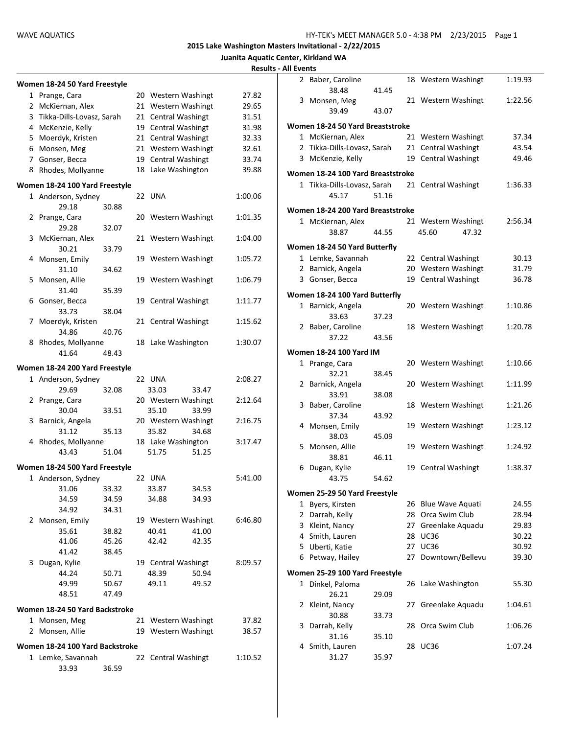#### **Juanita Aquatic Center, Kirkland WA Results - All Events**

|   | men 18-24 50 Yard Freestyle |  |                     |       |  |  |  |  |  |
|---|-----------------------------|--|---------------------|-------|--|--|--|--|--|
|   | 1 Prange, Cara              |  | 20 Western Washingt | 27.82 |  |  |  |  |  |
|   | 2 McKiernan, Alex           |  | 21 Western Washingt | 29.65 |  |  |  |  |  |
|   | 3 Tikka-Dills-Lovasz, Sarah |  | 21 Central Washingt | 31.51 |  |  |  |  |  |
|   | 4 McKenzie, Kelly           |  | 19 Central Washingt | 31.98 |  |  |  |  |  |
|   | 5 Moerdyk, Kristen          |  | 21 Central Washingt | 32.33 |  |  |  |  |  |
|   | 6 Monsen, Meg               |  | 21 Western Washingt | 32.61 |  |  |  |  |  |
| 7 | Gonser, Becca               |  | 19 Central Washingt | 33.74 |  |  |  |  |  |

#### **Women 18-24 100 Yard Freestyle**

**Women 18-24 50 Yard Freestyle**

|                | 1 Anderson, Sydney              |       | 22 UNA              |       | 1:00.06 |
|----------------|---------------------------------|-------|---------------------|-------|---------|
|                | 29.18                           | 30.88 |                     |       |         |
|                | 2 Prange, Cara                  |       | 20 Western Washingt |       | 1:01.35 |
|                | 29.28                           | 32.07 |                     |       |         |
| 3              | McKiernan, Alex                 |       | 21 Western Washingt |       | 1:04.00 |
|                | 30.21                           | 33.79 |                     |       |         |
|                | 4 Monsen, Emily                 |       | 19 Western Washingt |       | 1:05.72 |
|                | 31.10                           | 34.62 |                     |       |         |
|                | 5 Monsen, Allie                 |       | 19 Western Washingt |       | 1:06.79 |
|                | 31.40                           | 35.39 |                     |       |         |
|                | 6 Gonser, Becca                 |       | 19 Central Washingt |       | 1:11.77 |
|                | 33.73                           | 38.04 |                     |       |         |
|                | 7 Moerdyk, Kristen              |       | 21 Central Washingt |       | 1:15.62 |
|                | 34.86                           | 40.76 |                     |       |         |
|                | 8 Rhodes, Mollyanne             |       | 18 Lake Washington  |       | 1:30.07 |
|                | 41.64                           | 48.43 |                     |       |         |
|                | Women 18-24 200 Yard Freestyle  |       |                     |       |         |
|                | 1 Anderson, Sydney              |       | 22 UNA              |       | 2:08.27 |
|                | 29.69                           | 32.08 | 33.03               | 33.47 |         |
|                | 2 Prange, Cara                  |       | 20 Western Washingt |       | 2:12.64 |
|                | 30.04                           | 33.51 | 35.10               | 33.99 |         |
| 3              | Barnick, Angela                 |       | 20 Western Washingt |       | 2:16.75 |
|                | 31.12                           | 35.13 | 35.82               | 34.68 |         |
|                | 4 Rhodes, Mollyanne             |       | 18 Lake Washington  |       | 3:17.47 |
|                | 43.43                           | 51.04 | 51.75               | 51.25 |         |
|                | Women 18-24 500 Yard Freestyle  |       |                     |       |         |
|                | 1 Anderson, Sydney              |       | 22 UNA              |       | 5:41.00 |
|                | 31.06                           | 33.32 | 33.87               | 34.53 |         |
|                | 34.59                           | 34.59 | 34.88               | 34.93 |         |
|                | 34.92                           | 34.31 |                     |       |         |
|                | 2 Monsen, Emily                 |       | 19 Western Washingt |       | 6:46.80 |
|                | 35.61                           | 38.82 | 40.41               | 41.00 |         |
|                | 41.06                           | 45.26 | 42.42               | 42.35 |         |
|                | 41.42                           | 38.45 |                     |       |         |
|                | 3 Dugan, Kylie                  |       | 19 Central Washingt |       | 8:09.57 |
|                | 44.24                           | 50.71 | 48.39               | 50.94 |         |
|                | 49.99                           | 50.67 | 49.11               | 49.52 |         |
|                | 48.51                           | 47.49 |                     |       |         |
|                | Women 18-24 50 Yard Backstroke  |       |                     |       |         |
|                | 1 Monsen, Meg                   |       | 21 Western Washingt |       | 37.82   |
| $\overline{2}$ | Monsen, Allie                   |       | 19 Western Washingt |       | 38.57   |
|                | Women 18-24 100 Yard Backstroke |       |                     |       |         |

1 Lemke, Savannah 22 Central Washingt 1:10.52

33.93 36.59

8 Rhodes, Mollyanne 18 Lake Washington 39.88

|   | 2 Baber, Caroline                                 |       |    | 18 Western Washingt             | 1:19.93 |
|---|---------------------------------------------------|-------|----|---------------------------------|---------|
|   | 38.48                                             | 41.45 |    |                                 |         |
|   | 3 Monsen, Meg                                     |       |    | 21 Western Washingt             | 1:22.56 |
|   | 39.49                                             | 43.07 |    |                                 |         |
|   | Women 18-24 50 Yard Breaststroke                  |       |    |                                 |         |
|   | 1 McKiernan, Alex                                 |       |    | 21 Western Washingt             | 37.34   |
|   | 2 Tikka-Dills-Lovasz, Sarah                       |       |    | 21 Central Washingt             | 43.54   |
|   | 3 McKenzie, Kelly                                 |       | 19 | <b>Central Washingt</b>         | 49.46   |
|   | Women 18-24 100 Yard Breaststroke                 |       |    |                                 |         |
|   | 1 Tikka-Dills-Lovasz, Sarah                       |       |    | 21 Central Washingt             | 1:36.33 |
|   | 45.17                                             | 51.16 |    |                                 |         |
|   | Women 18-24 200 Yard Breaststroke                 |       |    |                                 |         |
|   | 1 McKiernan, Alex                                 |       |    | 21 Western Washingt             | 2:56.34 |
|   | 38.87                                             | 44.55 |    | 45.60<br>47.32                  |         |
|   | Women 18-24 50 Yard Butterfly                     |       |    |                                 |         |
|   | 1 Lemke, Savannah                                 |       |    | 22 Central Washingt             | 30.13   |
|   | 2 Barnick, Angela                                 |       |    | 20 Western Washingt             | 31.79   |
|   | 3 Gonser, Becca                                   |       |    | 19 Central Washingt             | 36.78   |
|   |                                                   |       |    |                                 |         |
|   | Women 18-24 100 Yard Butterfly                    |       |    |                                 |         |
|   | 1 Barnick, Angela                                 |       |    | 20 Western Washingt             | 1:10.86 |
|   | 33.63<br>2 Baber, Caroline                        | 37.23 |    | 18 Western Washingt             | 1:20.78 |
|   | 37.22                                             | 43.56 |    |                                 |         |
|   |                                                   |       |    |                                 |         |
|   | <b>Women 18-24 100 Yard IM</b>                    |       |    |                                 |         |
|   | 1 Prange, Cara                                    |       |    | 20 Western Washingt             | 1:10.66 |
|   | 32.21                                             | 38.45 |    |                                 |         |
|   | 2 Barnick, Angela                                 |       |    | 20 Western Washingt             | 1:11.99 |
|   | 33.91                                             | 38.08 |    |                                 |         |
|   | 3 Baber, Caroline                                 |       |    | 18 Western Washingt             | 1:21.26 |
|   | 37.34<br>4 Monsen, Emily                          | 43.92 |    | 19 Western Washingt             | 1:23.12 |
|   | 38.03                                             | 45.09 |    |                                 |         |
|   | 5 Monsen, Allie                                   |       |    | 19 Western Washingt             | 1:24.92 |
|   | 38.81                                             | 46.11 |    |                                 |         |
|   | 6 Dugan, Kylie                                    |       |    | 19 Central Washingt             | 1:38.37 |
|   | 43.75                                             | 54.62 |    |                                 |         |
|   |                                                   |       |    |                                 |         |
|   | Women 25-29 50 Yard Freestyle<br>1 Byers, Kirsten |       |    | 26 Blue Wave Aquati             | 24.55   |
|   | 2 Darrah, Kelly                                   |       |    | 28 Orca Swim Club               | 28.94   |
|   | 3 Kleint, Nancy                                   |       | 27 |                                 | 29.83   |
|   | 4 Smith, Lauren                                   |       | 28 | Greenlake Aquadu<br><b>UC36</b> | 30.22   |
|   | 5 Uberti, Katie                                   |       |    | 27 UC36                         | 30.92   |
|   | 6 Petway, Hailey                                  |       | 27 | Downtown/Bellevu                | 39.30   |
|   |                                                   |       |    |                                 |         |
|   | Women 25-29 100 Yard Freestyle                    |       |    |                                 |         |
| 1 | Dinkel, Paloma                                    |       | 26 | Lake Washington                 | 55.30   |
|   | 26.21                                             | 29.09 |    |                                 |         |
| 2 | Kleint, Nancy                                     |       | 27 | Greenlake Aquadu                | 1:04.61 |
|   | 30.88                                             | 33.73 |    |                                 |         |
| 3 | Darrah, Kelly                                     |       | 28 | Orca Swim Club                  | 1:06.26 |
|   | 31.16<br>4 Smith, Lauren                          | 35.10 |    | 28 UC36                         | 1:07.24 |
|   | 31.27                                             | 35.97 |    |                                 |         |
|   |                                                   |       |    |                                 |         |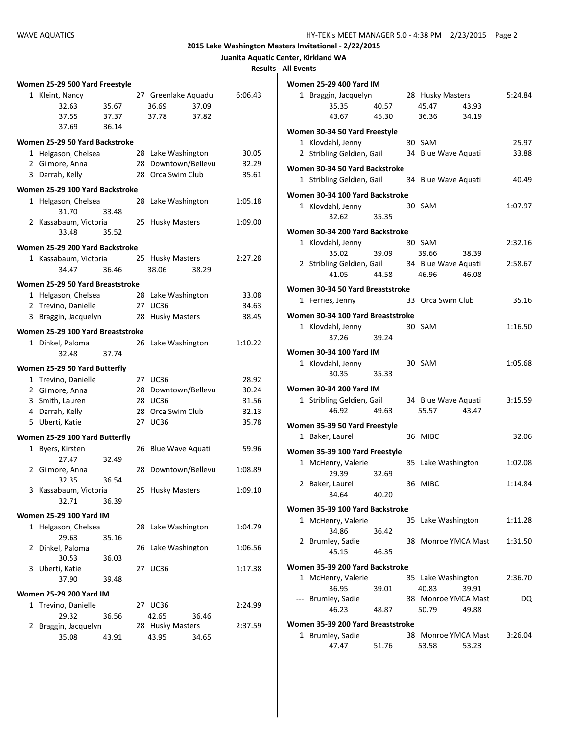| Juanita Aquatic Center, Kirkland WA |  |  |  |
|-------------------------------------|--|--|--|
|-------------------------------------|--|--|--|

**Results - All Events**

|              | Women 25-29 500 Yard Freestyle    |       |    |                     |         |
|--------------|-----------------------------------|-------|----|---------------------|---------|
|              | 1 Kleint, Nancy                   |       |    | 27 Greenlake Aquadu | 6:06.43 |
|              | 32.63                             | 35.67 |    | 37.09<br>36.69      |         |
|              | 37.55                             | 37.37 |    | 37.78<br>37.82      |         |
|              | 37.69                             |       |    |                     |         |
|              |                                   | 36.14 |    |                     |         |
|              | Women 25-29 50 Yard Backstroke    |       |    |                     |         |
|              | 1 Helgason, Chelsea               |       |    | 28 Lake Washington  | 30.05   |
|              | 2 Gilmore, Anna                   |       |    | 28 Downtown/Bellevu | 32.29   |
|              | 3 Darrah, Kelly                   |       |    | 28 Orca Swim Club   | 35.61   |
|              | Women 25-29 100 Yard Backstroke   |       |    |                     |         |
|              |                                   |       |    |                     |         |
|              | 1 Helgason, Chelsea               |       |    | 28 Lake Washington  | 1:05.18 |
|              | 31.70                             | 33.48 |    |                     |         |
|              | 2 Kassabaum, Victoria             |       |    | 25 Husky Masters    | 1:09.00 |
|              | 33.48                             | 35.52 |    |                     |         |
|              | Women 25-29 200 Yard Backstroke   |       |    |                     |         |
|              | 1 Kassabaum, Victoria             |       |    | 25 Husky Masters    | 2:27.28 |
|              | 34.47                             | 36.46 |    | 38.06<br>38.29      |         |
|              | Women 25-29 50 Yard Breaststroke  |       |    |                     |         |
|              |                                   |       |    |                     |         |
|              | 1 Helgason, Chelsea               |       |    | 28 Lake Washington  | 33.08   |
|              | 2 Trevino, Danielle               |       |    | 27 UC36             | 34.63   |
|              | 3 Braggin, Jacquelyn              |       |    | 28 Husky Masters    | 38.45   |
|              | Women 25-29 100 Yard Breaststroke |       |    |                     |         |
|              | 1 Dinkel, Paloma                  |       | 26 | Lake Washington     | 1:10.22 |
|              | 32.48                             | 37.74 |    |                     |         |
|              | Women 25-29 50 Yard Butterfly     |       |    |                     |         |
|              |                                   |       |    |                     |         |
|              | 1 Trevino, Danielle               |       |    | 27 UC36             | 28.92   |
|              | 2 Gilmore, Anna                   |       |    | 28 Downtown/Bellevu | 30.24   |
|              | 3 Smith, Lauren                   |       |    | 28 UC36             | 31.56   |
|              | 4 Darrah, Kelly                   |       |    | 28 Orca Swim Club   | 32.13   |
|              | 5 Uberti, Katie                   |       |    | 27 UC36             | 35.78   |
|              | Women 25-29 100 Yard Butterfly    |       |    |                     |         |
|              | 1 Byers, Kirsten                  |       | 26 | Blue Wave Aquati    | 59.96   |
|              | 27.47                             | 32.49 |    |                     |         |
|              | 2 Gilmore, Anna                   |       |    | 28 Downtown/Bellevu | 1:08.89 |
|              | 32.35                             | 36.54 |    |                     |         |
| 3            | Kassabaum, Victoria               |       |    | 25 Husky Masters    | 1:09.10 |
|              | 32.71                             | 36.39 |    |                     |         |
|              |                                   |       |    |                     |         |
|              | <b>Women 25-29 100 Yard IM</b>    |       |    |                     |         |
|              | 1 Helgason, Chelsea               |       | 28 | Lake Washington     | 1:04.79 |
|              | 29.63                             | 35.16 |    |                     |         |
| $\mathbf{2}$ | Dinkel, Paloma                    |       |    | 26 Lake Washington  | 1:06.56 |
|              | 30.53                             | 36.03 |    |                     |         |
|              | 3 Uberti, Katie                   |       |    | 27 UC36             | 1:17.38 |
|              | 37.90                             | 39.48 |    |                     |         |
|              | <b>Women 25-29 200 Yard IM</b>    |       |    |                     |         |
|              | 1 Trevino, Danielle               |       |    | 27 UC36             | 2:24.99 |
|              | 29.32                             | 36.56 |    | 42.65<br>36.46      |         |
|              | 2 Braggin, Jacquelyn              |       |    | 28 Husky Masters    | 2:37.59 |
|              | 35.08                             | 43.91 |    | 43.95<br>34.65      |         |
|              |                                   |       |    |                     |         |

| <b>Women 25-29 400 Yard IM</b>    |             |                     |       |         |
|-----------------------------------|-------------|---------------------|-------|---------|
| 1 Braggin, Jacquelyn              |             | 28 Husky Masters    |       | 5:24.84 |
| 35.35                             | 40.57       | 45.47               | 43.93 |         |
| 43.67                             | 45.30       | 36.36               | 34.19 |         |
| Women 30-34 50 Yard Freestyle     |             |                     |       |         |
| 1 Klovdahl, Jenny                 |             | 30 SAM              |       | 25.97   |
| 2 Stribling Geldien, Gail         |             | 34 Blue Wave Aquati |       | 33.88   |
| Women 30-34 50 Yard Backstroke    |             |                     |       |         |
| 1 Stribling Geldien, Gail         |             | 34 Blue Wave Aquati |       | 40.49   |
|                                   |             |                     |       |         |
| Women 30-34 100 Yard Backstroke   |             |                     |       |         |
| 1 Klovdahl, Jenny                 |             | 30 SAM              |       | 1:07.97 |
| 32.62                             | 35.35       |                     |       |         |
| Women 30-34 200 Yard Backstroke   |             |                     |       |         |
| 1 Klovdahl, Jenny                 |             | 30 SAM              |       | 2:32.16 |
| 35.02                             | 39.09       | 39.66               | 38.39 |         |
| 2 Stribling Geldien, Gail         |             | 34 Blue Wave Aquati |       | 2:58.67 |
| 41.05                             | 44.58 46.96 |                     | 46.08 |         |
| Women 30-34 50 Yard Breaststroke  |             |                     |       |         |
| 1 Ferries, Jenny                  |             | 33 Orca Swim Club   |       | 35.16   |
|                                   |             |                     |       |         |
| Women 30-34 100 Yard Breaststroke |             |                     |       |         |
| 1 Klovdahl, Jenny                 |             | 30 SAM              |       | 1:16.50 |
| 37.26                             | 39.24       |                     |       |         |
| <b>Women 30-34 100 Yard IM</b>    |             |                     |       |         |
| 1 Klovdahl, Jenny                 |             | 30 SAM              |       | 1:05.68 |
| 30.35                             | 35.33       |                     |       |         |
| <b>Women 30-34 200 Yard IM</b>    |             |                     |       |         |
| 1 Stribling Geldien, Gail         |             | 34 Blue Wave Aquati |       | 3:15.59 |
| 46.92                             | 49.63       | 55.57               | 43.47 |         |
|                                   |             |                     |       |         |
| Women 35-39 50 Yard Freestyle     |             |                     |       |         |
| 1 Baker, Laurel                   |             | 36 MIBC             |       | 32.06   |
| Women 35-39 100 Yard Freestyle    |             |                     |       |         |
| 1 McHenry, Valerie                |             | 35 Lake Washington  |       | 1:02.08 |
| 29.39                             | 32.69       |                     |       |         |
| 2 Baker, Laurel                   |             | 36 MIBC             |       | 1:14.84 |
| 34.64                             | 40.20       |                     |       |         |
| Women 35-39 100 Yard Backstroke   |             |                     |       |         |
| 1 McHenry, Valerie                |             | 35 Lake Washington  |       | 1:11.28 |
| 34.86                             | 36.42       |                     |       |         |
| 2 Brumley, Sadie                  |             | 38 Monroe YMCA Mast |       | 1:31.50 |
| 45.15                             | 46.35       |                     |       |         |
| Women 35-39 200 Yard Backstroke   |             |                     |       |         |
| 1 McHenry, Valerie                |             | 35 Lake Washington  |       | 2:36.70 |
| 36.95                             | 39.01       | 40.83               | 39.91 |         |
| --- Brumley, Sadie                |             | 38 Monroe YMCA Mast |       | DQ      |
| 46.23                             | 48.87       | 50.79               | 49.88 |         |
|                                   |             |                     |       |         |
| Women 35-39 200 Yard Breaststroke |             |                     |       |         |
| 1 Brumley, Sadie                  |             | 38 Monroe YMCA Mast |       | 3:26.04 |
| 47.47                             | 51.76       | 53.58               | 53.23 |         |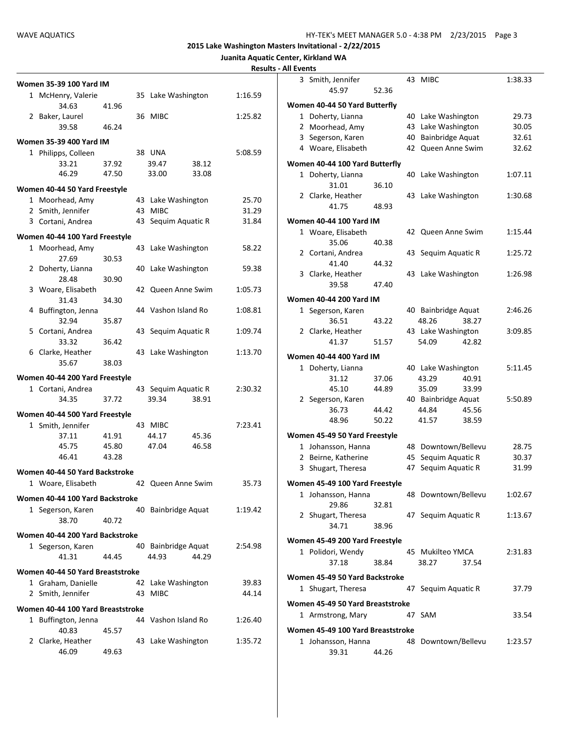|                                   |       |                     |         | <b>Results - All Events</b> |
|-----------------------------------|-------|---------------------|---------|-----------------------------|
| <b>Women 35-39 100 Yard IM</b>    |       |                     |         | 3 Smith                     |
| 1 McHenry, Valerie                |       | 35 Lake Washington  | 1:16.59 |                             |
| 34.63                             | 41.96 |                     |         | Women 40-                   |
| 2 Baker, Laurel                   |       | 36 MIBC             | 1:25.82 | 1 Dohe                      |
| 39.58                             | 46.24 |                     |         | 2 Moor                      |
| <b>Women 35-39 400 Yard IM</b>    |       |                     |         | 3 Seger                     |
| 1 Philipps, Colleen               |       | 38 UNA              | 5:08.59 | 4 Woar                      |
| 33.21                             | 37.92 | 39.47<br>38.12      |         | Women 40-                   |
| 46.29                             | 47.50 | 33.00<br>33.08      |         | 1 Dohe                      |
| Women 40-44 50 Yard Freestyle     |       |                     |         |                             |
| 1 Moorhead, Amy                   |       | 43 Lake Washington  | 25.70   | 2 Clark                     |
| 2 Smith, Jennifer                 |       | 43 MIBC             | 31.29   |                             |
| 3 Cortani, Andrea                 |       | 43 Sequim Aquatic R | 31.84   | Women 40-                   |
| Women 40-44 100 Yard Freestyle    |       |                     |         | 1 Woar                      |
| 1 Moorhead, Amy                   |       | 43 Lake Washington  | 58.22   |                             |
| 27.69                             | 30.53 |                     |         | 2 Corta                     |
| 2 Doherty, Lianna                 |       | 40 Lake Washington  | 59.38   |                             |
| 28.48                             | 30.90 |                     |         | 3 Clark                     |
| 3 Woare, Elisabeth                |       | 42 Queen Anne Swim  | 1:05.73 |                             |
| 31.43                             | 34.30 |                     |         | Women 40-                   |
| 4 Buffington, Jenna               |       | 44 Vashon Island Ro | 1:08.81 | 1 Seger                     |
| 32.94                             | 35.87 |                     |         |                             |
| 5 Cortani, Andrea                 |       | 43 Sequim Aquatic R | 1:09.74 | 2 Clark                     |
| 33.32                             | 36.42 |                     |         |                             |
| 6 Clarke, Heather                 |       | 43 Lake Washington  | 1:13.70 | Women 40-                   |
| 35.67                             | 38.03 |                     |         | 1 Dohe                      |
| Women 40-44 200 Yard Freestyle    |       |                     |         |                             |
| 1 Cortani, Andrea                 |       | 43 Sequim Aquatic R | 2:30.32 |                             |
| 34.35                             | 37.72 | 39.34<br>38.91      |         | 2 Seger                     |
| Women 40-44 500 Yard Freestyle    |       |                     |         |                             |
| 1 Smith, Jennifer                 |       | 43 MIBC             | 7:23.41 |                             |
| 37.11                             | 41.91 | 44.17<br>45.36      |         | Women 45-                   |
| 45.75                             | 45.80 | 47.04<br>46.58      |         | 1 Johar                     |
| 46.41                             | 43.28 |                     |         | 2 Beirn                     |
|                                   |       |                     |         | 3<br>Shuga                  |
| Women 40-44 50 Yard Backstroke    |       |                     |         |                             |
| 1 Woare, Elisabeth                |       | 42 Queen Anne Swim  | 35.73   | Women 45-                   |
| Women 40-44 100 Yard Backstroke   |       |                     |         | 1 Johar                     |
| 1 Segerson, Karen                 |       | 40 Bainbridge Aquat | 1:19.42 | 2 Shuga                     |
| 38.70                             | 40.72 |                     |         |                             |
| Women 40-44 200 Yard Backstroke   |       |                     |         |                             |
| 1 Segerson, Karen                 |       | 40 Bainbridge Aquat | 2:54.98 | Women 45-                   |
| 41.31                             | 44.45 | 44.29<br>44.93      |         | 1 Polid                     |
| Women 40-44 50 Yard Breaststroke  |       |                     |         |                             |
| 1 Graham, Danielle                |       | 42 Lake Washington  | 39.83   | Women 45-                   |
| 2 Smith, Jennifer                 |       | 43 MIBC             | 44.14   | 1 Shuga                     |
|                                   |       |                     |         | Women 45-                   |
| Women 40-44 100 Yard Breaststroke |       |                     |         | 1 Arms                      |
| 1 Buffington, Jenna               |       | 44 Vashon Island Ro | 1:26.40 |                             |
| 40.83                             | 45.57 |                     |         | Women 45-                   |
| 2 Clarke, Heather                 |       | 43 Lake Washington  | 1:35.72 | 1 Johar                     |
| 46.09                             | 49.63 |                     |         |                             |

| נו בעכוונא |                                                     |       |    |                     |         |  |  |  |  |
|------------|-----------------------------------------------------|-------|----|---------------------|---------|--|--|--|--|
|            | 3 Smith, Jennifer                                   |       |    | 43 MIBC             | 1:38.33 |  |  |  |  |
|            | 45.97                                               | 52.36 |    |                     |         |  |  |  |  |
|            |                                                     |       |    |                     |         |  |  |  |  |
|            | Women 40-44 50 Yard Butterfly<br>40 Lake Washington |       |    |                     |         |  |  |  |  |
|            | 1 Doherty, Lianna                                   |       |    |                     | 29.73   |  |  |  |  |
|            | 2 Moorhead, Amy                                     |       |    | 43 Lake Washington  | 30.05   |  |  |  |  |
| 3          | Segerson, Karen                                     |       |    | 40 Bainbridge Aquat | 32.61   |  |  |  |  |
|            | 4 Woare, Elisabeth                                  |       | 42 | Queen Anne Swim     | 32.62   |  |  |  |  |
|            | Women 40-44 100 Yard Butterfly                      |       |    |                     |         |  |  |  |  |
|            | 1 Doherty, Lianna                                   |       | 40 | Lake Washington     | 1:07.11 |  |  |  |  |
|            | 31.01                                               | 36.10 |    |                     |         |  |  |  |  |
|            | 2 Clarke, Heather                                   |       |    | 43 Lake Washington  | 1:30.68 |  |  |  |  |
|            | 41.75                                               | 48.93 |    |                     |         |  |  |  |  |
|            | Women 40-44 100 Yard IM                             |       |    |                     |         |  |  |  |  |
|            |                                                     |       | 42 |                     |         |  |  |  |  |
|            | 1 Woare, Elisabeth                                  |       |    | Queen Anne Swim     | 1:15.44 |  |  |  |  |
|            | 35.06<br>2 Cortani, Andrea                          | 40.38 | 43 |                     | 1:25.72 |  |  |  |  |
|            | 41.40                                               |       |    | Sequim Aquatic R    |         |  |  |  |  |
| 3          |                                                     | 44.32 | 43 | Lake Washington     | 1:26.98 |  |  |  |  |
|            | Clarke, Heather<br>39.58                            | 47.40 |    |                     |         |  |  |  |  |
|            |                                                     |       |    |                     |         |  |  |  |  |
|            | Women 40-44 200 Yard IM                             |       |    |                     |         |  |  |  |  |
| 1          | Segerson, Karen                                     |       |    | 40 Bainbridge Aquat | 2:46.26 |  |  |  |  |
|            | 36.51                                               | 43.22 |    | 48.26<br>38.27      |         |  |  |  |  |
|            | 2 Clarke, Heather                                   |       |    | 43 Lake Washington  | 3:09.85 |  |  |  |  |
|            | 41.37                                               | 51.57 |    | 54.09<br>42.82      |         |  |  |  |  |
|            | Women 40-44 400 Yard IM                             |       |    |                     |         |  |  |  |  |
|            | 1 Doherty, Lianna                                   |       |    | 40 Lake Washington  | 5:11.45 |  |  |  |  |
|            | 31.12                                               | 37.06 |    | 43.29<br>40.91      |         |  |  |  |  |
|            | 45.10                                               | 44.89 |    | 35.09<br>33.99      |         |  |  |  |  |
|            | 2 Segerson, Karen                                   |       |    | 40 Bainbridge Aquat | 5:50.89 |  |  |  |  |
|            | 36.73                                               | 44.42 |    | 44.84<br>45.56      |         |  |  |  |  |
|            | 48.96                                               | 50.22 |    | 41.57<br>38.59      |         |  |  |  |  |
|            |                                                     |       |    |                     |         |  |  |  |  |
|            | Women 45-49 50 Yard Freestyle                       |       |    |                     |         |  |  |  |  |
|            | 1 Johansson, Hanna                                  |       |    | 48 Downtown/Bellevu | 28.75   |  |  |  |  |
| 2          | Beirne, Katherine                                   |       | 45 | Sequim Aquatic R    | 30.37   |  |  |  |  |
| 3          | Shugart, Theresa                                    |       | 47 | Sequim Aquatic R    | 31.99   |  |  |  |  |
|            | Women 45-49 100 Yard Freestyle                      |       |    |                     |         |  |  |  |  |
|            | 1 Johansson, Hanna                                  |       |    | 48 Downtown/Bellevu | 1:02.67 |  |  |  |  |
|            | 29.86                                               | 32.81 |    |                     |         |  |  |  |  |
|            | 2 Shugart, Theresa                                  |       |    | 47 Sequim Aquatic R | 1:13.67 |  |  |  |  |
|            | 34.71                                               | 38.96 |    |                     |         |  |  |  |  |
|            |                                                     |       |    |                     |         |  |  |  |  |
|            | Women 45-49 200 Yard Freestyle                      |       |    |                     |         |  |  |  |  |
|            | 1 Polidori, Wendy                                   |       |    | 45 Mukilteo YMCA    | 2:31.83 |  |  |  |  |
|            | 37.18                                               | 38.84 |    | 38.27<br>37.54      |         |  |  |  |  |
|            | Women 45-49 50 Yard Backstroke                      |       |    |                     |         |  |  |  |  |
|            | 1 Shugart, Theresa                                  |       |    | 47 Sequim Aquatic R | 37.79   |  |  |  |  |
|            |                                                     |       |    |                     |         |  |  |  |  |
|            | Women 45-49 50 Yard Breaststroke                    |       |    |                     |         |  |  |  |  |
|            | 1 Armstrong, Mary                                   |       | 47 | SAM                 | 33.54   |  |  |  |  |
|            | Women 45-49 100 Yard Breaststroke                   |       |    |                     |         |  |  |  |  |
|            | 1 Johansson, Hanna                                  |       |    | 48 Downtown/Bellevu | 1:23.57 |  |  |  |  |
|            | 39.31                                               | 44.26 |    |                     |         |  |  |  |  |
|            |                                                     |       |    |                     |         |  |  |  |  |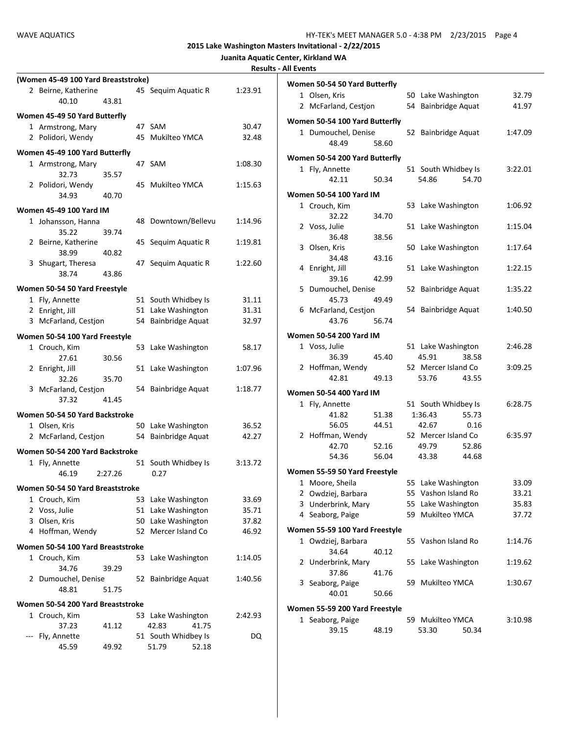|  | Juanita Aquatic Center, Kirkland WA |
|--|-------------------------------------|
|  |                                     |

| <b>Results - All Events</b> |  |
|-----------------------------|--|
|-----------------------------|--|

|   | (Women 45-49 100 Yard Breaststroke) |         |    |                     |         |  |  |  |
|---|-------------------------------------|---------|----|---------------------|---------|--|--|--|
|   | 2 Beirne, Katherine                 |         |    | 45 Sequim Aquatic R | 1:23.91 |  |  |  |
|   | 40.10                               | 43.81   |    |                     |         |  |  |  |
|   | Women 45-49 50 Yard Butterfly       |         |    |                     |         |  |  |  |
|   | 1 Armstrong, Mary                   |         |    | 47 SAM              | 30.47   |  |  |  |
|   | 2 Polidori, Wendy                   |         |    | 45 Mukilteo YMCA    | 32.48   |  |  |  |
|   |                                     |         |    |                     |         |  |  |  |
|   | Women 45-49 100 Yard Butterfly      |         |    |                     |         |  |  |  |
|   | 1 Armstrong, Mary<br>32.73          |         | 47 | SAM                 | 1:08.30 |  |  |  |
|   |                                     | 35.57   | 45 | Mukilteo YMCA       |         |  |  |  |
|   | 2 Polidori, Wendy<br>34.93          | 40.70   |    |                     | 1:15.63 |  |  |  |
|   |                                     |         |    |                     |         |  |  |  |
|   | <b>Women 45-49 100 Yard IM</b>      |         |    |                     |         |  |  |  |
|   | 1 Johansson, Hanna                  |         |    | 48 Downtown/Bellevu | 1:14.96 |  |  |  |
|   | 35.22                               | 39.74   |    |                     |         |  |  |  |
|   | 2 Beirne, Katherine                 |         | 45 | Sequim Aquatic R    | 1:19.81 |  |  |  |
|   | 38.99                               | 40.82   |    |                     |         |  |  |  |
|   | 3 Shugart, Theresa                  |         | 47 | Sequim Aquatic R    | 1:22.60 |  |  |  |
|   | 38.74                               | 43.86   |    |                     |         |  |  |  |
|   | Women 50-54 50 Yard Freestyle       |         |    |                     |         |  |  |  |
|   | 1 Fly, Annette                      |         |    | 51 South Whidbey Is | 31.11   |  |  |  |
|   | 2 Enright, Jill                     |         |    | 51 Lake Washington  | 31.31   |  |  |  |
|   | 3 McFarland, Cestjon                |         |    | 54 Bainbridge Aquat | 32.97   |  |  |  |
|   | Women 50-54 100 Yard Freestyle      |         |    |                     |         |  |  |  |
|   | 1 Crouch, Kim                       |         | 53 | Lake Washington     | 58.17   |  |  |  |
|   | 27.61                               | 30.56   |    |                     |         |  |  |  |
|   | 2 Enright, Jill                     |         |    | 51 Lake Washington  | 1:07.96 |  |  |  |
|   | 32.26                               | 35.70   |    |                     |         |  |  |  |
|   | 3 McFarland, Cestjon                |         |    | 54 Bainbridge Aquat | 1:18.77 |  |  |  |
|   | 37.32                               | 41.45   |    |                     |         |  |  |  |
|   |                                     |         |    |                     |         |  |  |  |
|   | Women 50-54 50 Yard Backstroke      |         |    |                     |         |  |  |  |
|   | 1 Olsen, Kris                       |         |    | 50 Lake Washington  | 36.52   |  |  |  |
|   | 2 McFarland, Cestjon                |         |    | 54 Bainbridge Aquat | 42.27   |  |  |  |
|   | Women 50-54 200 Yard Backstroke     |         |    |                     |         |  |  |  |
|   | 1 Fly, Annette                      |         | 51 | South Whidbey Is    | 3:13.72 |  |  |  |
|   | 46.19                               | 2:27.26 |    | 0.27                |         |  |  |  |
|   | Women 50-54 50 Yard Breaststroke    |         |    |                     |         |  |  |  |
| 1 | Crouch, Kim                         |         |    | 53 Lake Washington  | 33.69   |  |  |  |
|   | 2 Voss, Julie                       |         |    | 51 Lake Washington  | 35.71   |  |  |  |
|   | 3 Olsen, Kris                       |         |    | 50 Lake Washington  | 37.82   |  |  |  |
|   | 4 Hoffman, Wendy                    |         | 52 | Mercer Island Co    | 46.92   |  |  |  |
|   |                                     |         |    |                     |         |  |  |  |
|   | Women 50-54 100 Yard Breaststroke   |         |    |                     |         |  |  |  |
|   | 1 Crouch, Kim                       |         | 53 | Lake Washington     | 1:14.05 |  |  |  |
|   | 34.76                               | 39.29   |    |                     |         |  |  |  |
|   | 2 Dumouchel, Denise                 |         | 52 | Bainbridge Aquat    | 1:40.56 |  |  |  |
|   | 48.81                               | 51.75   |    |                     |         |  |  |  |
|   | Women 50-54 200 Yard Breaststroke   |         |    |                     |         |  |  |  |
|   | 1 Crouch, Kim                       |         |    | 53 Lake Washington  | 2:42.93 |  |  |  |
|   | 37.23                               | 41.12   |    | 42.83               | 41.75   |  |  |  |
|   | Fly, Annette                        |         |    | 51 South Whidbey Is | DQ      |  |  |  |
|   | 45.59                               | 49.92   |    | 51.79               | 52.18   |  |  |  |

|   | Women 50-54 50 Yard Butterfly  |       |    |                     |       |         |
|---|--------------------------------|-------|----|---------------------|-------|---------|
|   | 1 Olsen, Kris                  |       |    | 50 Lake Washington  |       | 32.79   |
|   | 2 McFarland, Cestjon           |       | 54 | Bainbridge Aquat    |       | 41.97   |
|   | Women 50-54 100 Yard Butterfly |       |    |                     |       |         |
|   | 1 Dumouchel, Denise            |       | 52 | Bainbridge Aquat    |       | 1:47.09 |
|   | 48.49                          | 58.60 |    |                     |       |         |
|   | Women 50-54 200 Yard Butterfly |       |    |                     |       |         |
|   | 1 Fly, Annette                 |       |    | 51 South Whidbey Is |       | 3:22.01 |
|   | 42.11                          | 50.34 |    | 54.86               | 54.70 |         |
|   | Women 50-54 100 Yard IM        |       |    |                     |       |         |
|   | 1 Crouch, Kim                  |       | 53 | Lake Washington     |       | 1:06.92 |
|   | 32.22                          | 34.70 |    |                     |       |         |
|   | 2 Voss, Julie                  |       | 51 | Lake Washington     |       | 1:15.04 |
|   | 36.48                          | 38.56 |    |                     |       |         |
| 3 | Olsen, Kris                    |       | 50 | Lake Washington     |       | 1:17.64 |
|   | 34.48                          | 43.16 |    |                     |       |         |
| 4 | Enright, Jill                  |       | 51 | Lake Washington     |       | 1:22.15 |
|   | 39.16                          | 42.99 |    |                     |       |         |
| 5 | Dumouchel, Denise              |       | 52 | Bainbridge Aquat    |       | 1:35.22 |
|   | 45.73                          | 49.49 |    |                     |       |         |
|   | 6 McFarland, Cestjon           |       |    | 54 Bainbridge Aquat |       | 1:40.50 |
|   | 43.76                          | 56.74 |    |                     |       |         |
|   | Women 50-54 200 Yard IM        |       |    |                     |       |         |
|   | 1 Voss, Julie                  |       |    | 51 Lake Washington  |       | 2:46.28 |
|   | 36.39                          | 45.40 |    | 45.91               | 38.58 |         |
|   | 2 Hoffman, Wendy               |       |    | 52 Mercer Island Co |       | 3:09.25 |
|   | 42.81                          | 49.13 |    | 53.76               | 43.55 |         |
|   | Women 50-54 400 Yard IM        |       |    |                     |       |         |
|   | 1 Fly, Annette                 |       |    | 51 South Whidbey Is |       | 6:28.75 |
|   | 41.82                          | 51.38 |    | 1:36.43             | 55.73 |         |
|   | 56.05                          | 44.51 |    | 42.67               | 0.16  |         |
|   | 2 Hoffman, Wendy               |       |    | 52 Mercer Island Co |       | 6:35.97 |
|   | 42.70                          | 52.16 |    | 49.79               | 52.86 |         |
|   | 54.36                          | 56.04 |    | 43.38               | 44.68 |         |
|   | Women 55-59 50 Yard Freestyle  |       |    |                     |       |         |
|   | 1 Moore, Sheila                |       | 55 | Lake Washington     |       | 33.09   |
| 2 | Owdziej, Barbara               |       |    | 55 Vashon Island Ro |       | 33.21   |
| 3 | Underbrink, Mary               |       | 55 | Lake Washington     |       | 35.83   |
|   | Seaborg, Paige<br>4            |       | 59 | Mukilteo YMCA       |       | 37.72   |
|   | Women 55-59 100 Yard Freestyle |       |    |                     |       |         |
|   | 1 Owdziej, Barbara             |       | 55 | Vashon Island Ro    |       | 1:14.76 |
|   | 34.64                          | 40.12 |    |                     |       |         |
| 2 | Underbrink, Mary               |       | 55 | Lake Washington     |       | 1:19.62 |
|   | 37.86                          | 41.76 |    |                     |       |         |
|   | 3<br>Seaborg, Paige            |       | 59 | Mukilteo YMCA       |       | 1:30.67 |
|   | 40.01                          | 50.66 |    |                     |       |         |
|   | Women 55-59 200 Yard Freestyle |       |    |                     |       |         |
|   | Seaborg, Paige<br>1            |       |    | 59 Mukilteo YMCA    |       | 3:10.98 |
|   | 39.15                          | 48.19 |    | 53.30               | 50.34 |         |
|   |                                |       |    |                     |       |         |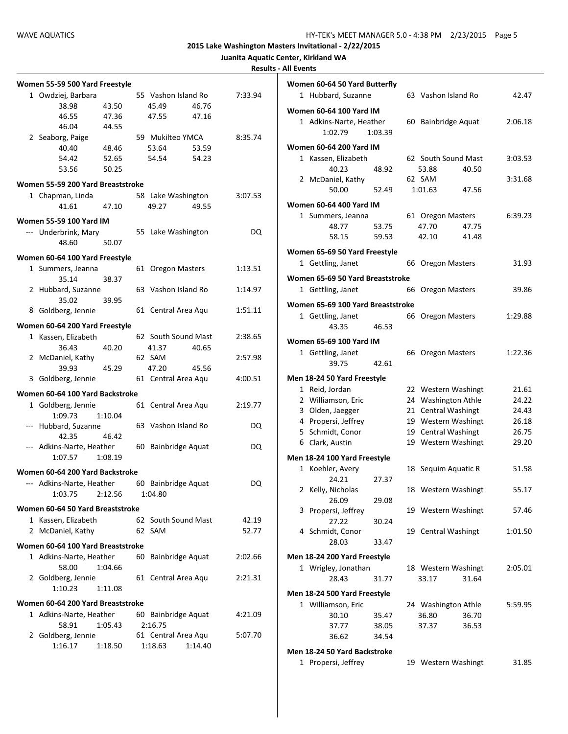| <b>Results - All Events</b> |
|-----------------------------|
|-----------------------------|

| Women 55-59 500 Yard Freestyle    |         |    |                         |         |         |
|-----------------------------------|---------|----|-------------------------|---------|---------|
| 1 Owdziej, Barbara                |         |    | 55 Vashon Island Ro     |         | 7:33.94 |
| 38.98                             | 43.50   |    | 45.49                   | 46.76   |         |
| 46.55                             | 47.36   |    | 47.55                   | 47.16   |         |
| 46.04                             | 44.55   |    |                         |         |         |
| 2 Seaborg, Paige                  |         |    | 59 Mukilteo YMCA        |         | 8:35.74 |
| 40.40                             | 48.46   |    | 53.64                   | 53.59   |         |
| 54.42                             | 52.65   |    | 54.54                   | 54.23   |         |
| 53.56                             | 50.25   |    |                         |         |         |
| Women 55-59 200 Yard Breaststroke |         |    |                         |         |         |
| 1 Chapman, Linda                  |         |    | 58 Lake Washington      |         | 3:07.53 |
| 41.61                             | 47.10   |    | 49.27                   | 49.55   |         |
| <b>Women 55-59 100 Yard IM</b>    |         |    |                         |         |         |
| --- Underbrink, Mary              |         |    | 55 Lake Washington      |         | DQ      |
| 48.60                             | 50.07   |    |                         |         |         |
|                                   |         |    |                         |         |         |
| Women 60-64 100 Yard Freestyle    |         |    |                         |         |         |
| 1 Summers, Jeanna                 |         |    | 61 Oregon Masters       |         | 1:13.51 |
| 35.14                             | 38.37   |    |                         |         |         |
| 2 Hubbard, Suzanne                |         |    | 63 Vashon Island Ro     |         | 1:14.97 |
| 35.02                             | 39.95   |    |                         |         |         |
| 8 Goldberg, Jennie                |         |    | 61 Central Area Aqu     |         | 1:51.11 |
| Women 60-64 200 Yard Freestyle    |         |    |                         |         |         |
| 1 Kassen, Elizabeth               |         |    | 62 South Sound Mast     |         | 2:38.65 |
| 36.43                             | 40.20   |    | 41.37                   | 40.65   |         |
| 2 McDaniel, Kathy                 |         |    | 62 SAM                  |         | 2:57.98 |
| 39.93                             | 45.29   |    | 47.20                   | 45.56   |         |
| 3 Goldberg, Jennie                |         |    | 61 Central Area Aqu     |         | 4:00.51 |
|                                   |         |    |                         |         |         |
| Women 60-64 100 Yard Backstroke   |         |    |                         |         |         |
| 1 Goldberg, Jennie                |         |    | 61 Central Area Aqu     |         | 2:19.77 |
| 1:09.73                           | 1:10.04 |    |                         |         |         |
| --- Hubbard, Suzanne              |         |    | 63 Vashon Island Ro     |         | DQ      |
| 42.35                             | 46.42   |    |                         |         |         |
| --- Adkins-Narte, Heather         |         |    | 60 Bainbridge Aquat     |         | DQ      |
| 1:07.57                           | 1:08.19 |    |                         |         |         |
| Women 60-64 200 Yard Backstroke   |         |    |                         |         |         |
| --- Adkins-Narte, Heather         |         | 60 | Bainbridge Aquat        |         | DQ      |
| 1:03.75                           | 2:12.56 |    | 1:04.80                 |         |         |
|                                   |         |    |                         |         |         |
| Women 60-64 50 Yard Breaststroke  |         |    |                         |         |         |
| 1 Kassen, Elizabeth               |         |    | 62 South Sound Mast     |         | 42.19   |
| 2 McDaniel, Kathy                 |         |    | 62 SAM                  |         | 52.77   |
| Women 60-64 100 Yard Breaststroke |         |    |                         |         |         |
| 1 Adkins-Narte, Heather           |         | 60 | <b>Bainbridge Aquat</b> |         | 2:02.66 |
| 58.00                             | 1:04.66 |    |                         |         |         |
| 2 Goldberg, Jennie                |         |    | 61 Central Area Aqu     |         | 2:21.31 |
| 1:10.23                           | 1:11.08 |    |                         |         |         |
|                                   |         |    |                         |         |         |
| Women 60-64 200 Yard Breaststroke |         |    |                         |         |         |
| 1 Adkins-Narte, Heather           |         |    | 60 Bainbridge Aquat     |         | 4:21.09 |
| 58.91                             | 1:05.43 |    | 2:16.75                 |         |         |
| 2 Goldberg, Jennie                |         |    | 61 Central Area Aqu     |         | 5:07.70 |
| 1:16.17                           | 1:18.50 |    | 1:18.63                 | 1:14.40 |         |
|                                   |         |    |                         |         |         |

|   | Women 60-64 50 Yard Butterfly     |         |    |                       |       |         |
|---|-----------------------------------|---------|----|-----------------------|-------|---------|
|   | 1 Hubbard, Suzanne                |         |    | 63 Vashon Island Ro   |       | 42.47   |
|   | Women 60-64 100 Yard IM           |         |    |                       |       |         |
|   | 1 Adkins-Narte, Heather           |         |    | 60 Bainbridge Aquat   |       | 2:06.18 |
|   | 1:02.79                           | 1:03.39 |    |                       |       |         |
|   | Women 60-64 200 Yard IM           |         |    |                       |       |         |
|   | 1 Kassen, Elizabeth               |         |    | 62 South Sound Mast   |       | 3:03.53 |
|   | 40.23                             | 48.92   |    | 53.88                 | 40.50 |         |
|   | 2 McDaniel, Kathy                 |         |    | 62 SAM                |       | 3:31.68 |
|   | 50.00                             | 52.49   |    | 1:01.63               | 47.56 |         |
|   | Women 60-64 400 Yard IM           |         |    |                       |       |         |
|   | 1 Summers, Jeanna                 |         |    | 61 Oregon Masters     |       | 6:39.23 |
|   | 48.77                             | 53.75   |    | 47.70                 | 47.75 |         |
|   | 58.15                             | 59.53   |    | 42.10                 | 41.48 |         |
|   |                                   |         |    |                       |       |         |
|   | Women 65-69 50 Yard Freestyle     |         |    |                       |       |         |
|   | 1 Gettling, Janet                 |         |    | 66 Oregon Masters     |       | 31.93   |
|   | Women 65-69 50 Yard Breaststroke  |         |    |                       |       |         |
|   | 1 Gettling, Janet                 |         | 66 | <b>Oregon Masters</b> |       | 39.86   |
|   | Women 65-69 100 Yard Breaststroke |         |    |                       |       |         |
|   | 1 Gettling, Janet                 |         | 66 | Oregon Masters        |       | 1:29.88 |
|   | 43.35                             | 46.53   |    |                       |       |         |
|   |                                   |         |    |                       |       |         |
|   | Women 65-69 100 Yard IM           |         |    |                       |       |         |
|   | 1 Gettling, Janet<br>39.75        | 42.61   |    | 66 Oregon Masters     |       | 1:22.36 |
|   |                                   |         |    |                       |       |         |
|   | Men 18-24 50 Yard Freestyle       |         |    |                       |       |         |
|   | 1 Reid, Jordan                    |         |    | 22 Western Washingt   |       | 21.61   |
|   | 2 Williamson, Eric                |         |    | 24 Washington Athle   |       | 24.22   |
|   | 3 Olden, Jaegger                  |         |    | 21 Central Washingt   |       | 24.43   |
|   | 4 Propersi, Jeffrey               |         |    | 19 Western Washingt   |       | 26.18   |
|   | 5 Schmidt, Conor                  |         |    | 19 Central Washingt   |       | 26.75   |
|   | 6 Clark, Austin                   |         |    | 19 Western Washingt   |       | 29.20   |
|   | Men 18-24 100 Yard Freestyle      |         |    |                       |       |         |
|   | 1 Koehler, Avery                  |         |    | 18 Sequim Aquatic R   |       | 51.58   |
|   | 24.21                             | 27.37   |    |                       |       |         |
|   | 2 Kelly, Nicholas                 |         |    | 18 Western Washingt   |       | 55.17   |
|   | 26.09                             | 29.08   |    |                       |       |         |
| 3 | Propersi, Jeffrey                 |         |    | 19 Western Washingt   |       | 57.46   |
|   | 27.22<br>4 Schmidt, Conor         | 30.24   |    | 19 Central Washingt   |       | 1:01.50 |
|   | 28.03                             | 33.47   |    |                       |       |         |
|   |                                   |         |    |                       |       |         |
|   | Men 18-24 200 Yard Freestyle      |         |    |                       |       |         |
|   | 1 Wrigley, Jonathan               |         |    | 18 Western Washingt   |       | 2:05.01 |
|   | 28.43                             | 31.77   |    | 33.17                 | 31.64 |         |
|   | Men 18-24 500 Yard Freestyle      |         |    |                       |       |         |
|   | 1 Williamson, Eric                |         |    | 24 Washington Athle   |       | 5:59.95 |
|   | 30.10                             | 35.47   |    | 36.80                 | 36.70 |         |
|   | 37.77                             | 38.05   |    | 37.37                 | 36.53 |         |
|   | 36.62                             | 34.54   |    |                       |       |         |
|   | Men 18-24 50 Yard Backstroke      |         |    |                       |       |         |
|   | 1 Propersi, Jeffrey               |         |    | 19 Western Washingt   |       | 31.85   |
|   |                                   |         |    |                       |       |         |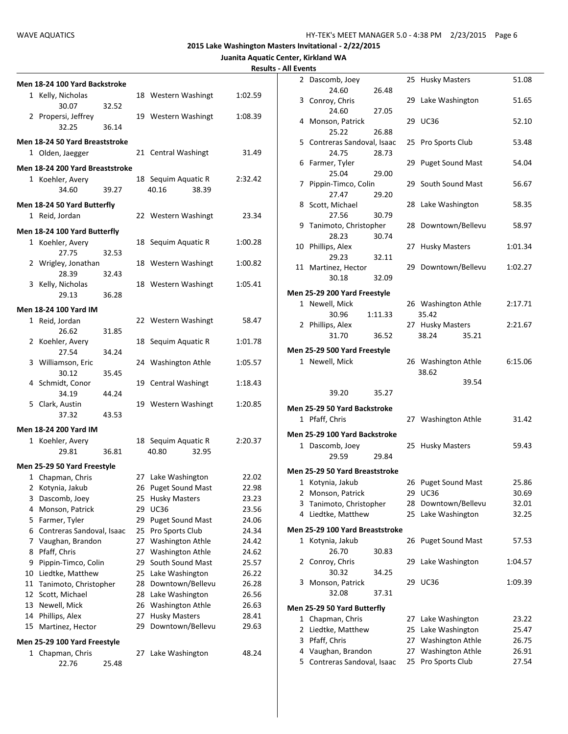|--|

|        | Men 18-24 100 Yard Backstroke                       |       |          |                                      |       |                |
|--------|-----------------------------------------------------|-------|----------|--------------------------------------|-------|----------------|
|        | 1 Kelly, Nicholas<br>30.07                          | 32.52 |          | 18 Western Washingt                  |       | 1:02.59        |
|        | 2 Propersi, Jeffrey<br>32.25                        | 36.14 |          | 19 Western Washingt                  |       | 1:08.39        |
|        | Men 18-24 50 Yard Breaststroke                      |       |          |                                      |       |                |
|        | 1 Olden, Jaegger                                    |       |          | 21 Central Washingt                  |       | 31.49          |
|        |                                                     |       |          |                                      |       |                |
|        | Men 18-24 200 Yard Breaststroke<br>1 Koehler, Avery |       |          | 18 Sequim Aquatic R                  |       | 2:32.42        |
|        | 34.60                                               | 39.27 |          | 40.16                                | 38.39 |                |
|        | Men 18-24 50 Yard Butterfly                         |       |          |                                      |       |                |
|        | 1 Reid, Jordan                                      |       |          | 22 Western Washingt                  |       | 23.34          |
|        | Men 18-24 100 Yard Butterfly                        |       |          |                                      |       |                |
|        | 1 Koehler, Avery                                    |       |          | 18 Sequim Aquatic R                  |       | 1:00.28        |
|        | 27.75                                               | 32.53 |          |                                      |       |                |
|        | 2 Wrigley, Jonathan                                 |       |          | 18 Western Washingt                  |       | 1:00.82        |
|        | 28.39<br>3 Kelly, Nicholas                          | 32.43 |          | 18 Western Washingt                  |       | 1:05.41        |
|        | 29.13                                               | 36.28 |          |                                      |       |                |
|        | Men 18-24 100 Yard IM                               |       |          |                                      |       |                |
|        | 1 Reid, Jordan                                      |       |          | 22 Western Washingt                  |       | 58.47          |
|        | 26.62                                               | 31.85 |          |                                      |       |                |
|        | 2 Koehler, Avery                                    |       |          | 18 Sequim Aquatic R                  |       | 1:01.78        |
|        | 27.54                                               | 34.24 |          |                                      |       |                |
|        | 3 Williamson, Eric                                  |       |          | 24 Washington Athle                  |       | 1:05.57        |
|        | 30.12                                               | 35.45 |          |                                      |       |                |
|        | 4 Schmidt, Conor<br>34.19                           | 44.24 |          | 19 Central Washingt                  |       | 1:18.43        |
|        | 5 Clark, Austin                                     |       |          | 19 Western Washingt                  |       | 1:20.85        |
|        | 37.32                                               | 43.53 |          |                                      |       |                |
|        | Men 18-24 200 Yard IM                               |       |          |                                      |       |                |
|        | 1 Koehler, Avery                                    |       |          | 18 Sequim Aquatic R                  |       | 2:20.37        |
|        | 29.81                                               | 36.81 |          | 40.80                                | 32.95 |                |
|        | Men 25-29 50 Yard Freestyle                         |       |          |                                      |       |                |
|        | 1 Chapman, Chris                                    |       |          | 27 Lake Washington                   |       | 22.02          |
| 2      | Kotynia, Jakub                                      |       | 26       | Puget Sound Mast                     |       | 22.98          |
| 3      | Dascomb, Joey                                       |       | 25       | <b>Husky Masters</b>                 |       | 23.23          |
| 4      | Monson, Patrick                                     |       | 29       | <b>UC36</b>                          |       | 23.56          |
| 5      | Farmer, Tyler                                       |       | 29       | <b>Puget Sound Mast</b>              |       | 24.06          |
| 6      | Contreras Sandoval, Isaac                           |       | 25       | Pro Sports Club                      |       | 24.34          |
| 7<br>8 | Vaughan, Brandon<br>Pfaff, Chris                    |       | 27<br>27 | Washington Athle<br>Washington Athle |       | 24.42<br>24.62 |
| 9      | Pippin-Timco, Colin                                 |       | 29       | South Sound Mast                     |       | 25.57          |
| 10     | Liedtke, Matthew                                    |       | 25       | Lake Washington                      |       | 26.22          |
| 11     | Tanimoto, Christopher                               |       | 28       | Downtown/Bellevu                     |       | 26.28          |
| 12     | Scott, Michael                                      |       | 28       | Lake Washington                      |       | 26.56          |
| 13     | Newell, Mick                                        |       | 26       | Washington Athle                     |       | 26.63          |
| 14     | Phillips, Alex                                      |       | 27       | <b>Husky Masters</b>                 |       | 28.41          |
| 15     | Martinez, Hector                                    |       | 29       | Downtown/Bellevu                     |       | 29.63          |
|        | Men 25-29 100 Yard Freestyle                        |       |          |                                      |       |                |
|        | 1 Chapman, Chris<br>22.76                           | 25.48 | 27       | Lake Washington                      |       | 48.24          |

| 2      | Dascomb, Joey                                 |         |          | 25 Husky Masters                    | 51.08          |
|--------|-----------------------------------------------|---------|----------|-------------------------------------|----------------|
|        | 24.60                                         | 26.48   |          |                                     |                |
|        | 3 Conroy, Chris                               |         |          | 29 Lake Washington                  | 51.65          |
|        | 24.60                                         | 27.05   |          |                                     |                |
|        | 4 Monson, Patrick                             |         |          | 29 UC36                             | 52.10          |
|        | 25.22                                         | 26.88   |          |                                     |                |
|        | 5 Contreras Sandoval, Isaac                   |         |          | 25 Pro Sports Club                  | 53.48          |
|        | 24.75                                         | 28.73   |          |                                     |                |
|        | 6 Farmer, Tyler                               |         |          | 29 Puget Sound Mast                 | 54.04          |
|        | 25.04                                         | 29.00   |          |                                     |                |
| 7      | Pippin-Timco, Colin                           |         |          | 29 South Sound Mast                 | 56.67          |
|        | 27.47                                         | 29.20   |          |                                     |                |
|        | 8 Scott, Michael                              |         |          | 28 Lake Washington                  | 58.35          |
|        | 27.56                                         | 30.79   |          |                                     |                |
| 9      | Tanimoto, Christopher                         |         | 28       | Downtown/Bellevu                    | 58.97          |
|        | 28.23                                         | 30.74   |          |                                     |                |
|        | 10 Phillips, Alex                             |         | 27       | <b>Husky Masters</b>                | 1:01.34        |
|        | 29.23                                         | 32.11   |          |                                     |                |
|        | 11 Martinez, Hector                           |         |          | 29 Downtown/Bellevu                 | 1:02.27        |
|        | 30.18                                         | 32.09   |          |                                     |                |
|        | Men 25-29 200 Yard Freestyle                  |         |          |                                     |                |
|        | 1 Newell, Mick                                |         |          | 26 Washington Athle                 | 2:17.71        |
|        | 30.96                                         | 1:11.33 |          | 35.42                               |                |
|        | 2 Phillips, Alex                              |         |          | 27 Husky Masters                    | 2:21.67        |
|        | 31.70                                         | 36.52   |          | 38.24<br>35.21                      |                |
|        |                                               |         |          |                                     |                |
|        | Men 25-29 500 Yard Freestyle                  |         |          |                                     |                |
|        | 1 Newell, Mick                                |         |          | 26 Washington Athle                 | 6:15.06        |
|        |                                               |         |          |                                     |                |
|        |                                               |         |          | 38.62                               |                |
|        |                                               |         |          | 39.54                               |                |
|        | 39.20                                         | 35.27   |          |                                     |                |
|        |                                               |         |          |                                     |                |
|        | Men 25-29 50 Yard Backstroke                  |         |          |                                     |                |
|        | 1 Pfaff, Chris                                |         |          | 27 Washington Athle                 | 31.42          |
|        | Men 25-29 100 Yard Backstroke                 |         |          |                                     |                |
|        | 1 Dascomb, Joey                               |         |          | 25 Husky Masters                    | 59.43          |
|        | 29.59                                         | 29.84   |          |                                     |                |
|        | Men 25-29 50 Yard Breaststroke                |         |          |                                     |                |
|        |                                               |         |          |                                     |                |
|        | 1 Kotynia, Jakub                              |         |          | 26 Puget Sound Mast                 | 25.86          |
| 2      | Monson, Patrick                               |         | 29       | <b>UC36</b>                         | 30.69          |
| 3<br>4 | Tanimoto, Christopher                         |         | 28       | Downtown/Bellevu                    | 32.01          |
|        | Liedtke, Matthew                              |         | 25       | Lake Washington                     | 32.25          |
|        | Men 25-29 100 Yard Breaststroke               |         |          |                                     |                |
| 1      | Kotynia, Jakub                                |         | 26       | <b>Puget Sound Mast</b>             | 57.53          |
|        | 26.70                                         | 30.83   |          |                                     |                |
| 2      | Conroy, Chris                                 |         | 29       | Lake Washington                     | 1:04.57        |
|        | 30.32                                         | 34.25   |          |                                     |                |
| 3      | Monson, Patrick                               |         | 29       | UC36                                | 1:09.39        |
|        | 32.08                                         | 37.31   |          |                                     |                |
|        | Men 25-29 50 Yard Butterfly                   |         |          |                                     |                |
|        |                                               |         | 27       |                                     |                |
|        | 1 Chapman, Chris                              |         |          | Lake Washington                     | 23.22          |
| 2      | Liedtke, Matthew                              |         | 25       | Lake Washington                     | 25.47          |
| 3      | Pfaff, Chris                                  |         |          | 27 Washington Athle                 | 26.75          |
| 4<br>5 | Vaughan, Brandon<br>Contreras Sandoval, Isaac |         | 27<br>25 | Washington Athle<br>Pro Sports Club | 26.91<br>27.54 |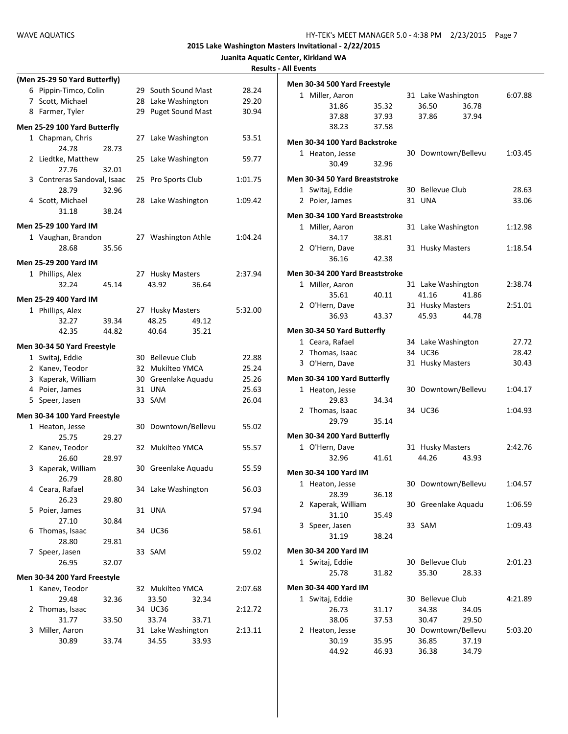|                               |       |                     |       |         | <b>RESUILS - AIL EVEILLS</b> |                 |                                 |       |                     |       |         |
|-------------------------------|-------|---------------------|-------|---------|------------------------------|-----------------|---------------------------------|-------|---------------------|-------|---------|
| (Men 25-29 50 Yard Butterfly) |       |                     |       |         |                              |                 | Men 30-34 500 Yard Freestyle    |       |                     |       |         |
| 6 Pippin-Timco, Colin         |       | 29 South Sound Mast |       | 28.24   |                              | 1 Miller, Aaron |                                 |       | 31 Lake Washington  |       | 6:07.88 |
| 7 Scott, Michael              |       | 28 Lake Washington  |       | 29.20   |                              |                 | 31.86                           | 35.32 | 36.50               | 36.78 |         |
| 8 Farmer, Tyler               |       | 29 Puget Sound Mast |       | 30.94   |                              |                 | 37.88                           | 37.93 | 37.86               | 37.94 |         |
| Men 25-29 100 Yard Butterfly  |       |                     |       |         |                              |                 | 38.23                           | 37.58 |                     |       |         |
| 1 Chapman, Chris              |       | 27 Lake Washington  |       | 53.51   |                              |                 |                                 |       |                     |       |         |
| 24.78                         | 28.73 |                     |       |         |                              |                 | Men 30-34 100 Yard Backstroke   |       |                     |       |         |
| 2 Liedtke, Matthew            |       | 25 Lake Washington  |       | 59.77   |                              | 1 Heaton, Jesse |                                 |       | 30 Downtown/Bellevu |       | 1:03.45 |
| 27.76                         | 32.01 |                     |       |         |                              |                 | 30.49                           | 32.96 |                     |       |         |
| 3 Contreras Sandoval, Isaac   |       | 25 Pro Sports Club  |       | 1:01.75 |                              |                 | Men 30-34 50 Yard Breaststroke  |       |                     |       |         |
| 28.79                         | 32.96 |                     |       |         |                              | 1 Switaj, Eddie |                                 |       | 30 Bellevue Club    |       | 28.63   |
| 4 Scott, Michael              |       | 28 Lake Washington  |       | 1:09.42 |                              | 2 Poier, James  |                                 |       | 31 UNA              |       | 33.06   |
| 31.18                         | 38.24 |                     |       |         |                              |                 |                                 |       |                     |       |         |
|                               |       |                     |       |         |                              |                 | Men 30-34 100 Yard Breaststroke |       |                     |       |         |
| Men 25-29 100 Yard IM         |       |                     |       |         |                              | 1 Miller, Aaron |                                 |       | 31 Lake Washington  |       | 1:12.98 |
| 1 Vaughan, Brandon            |       | 27 Washington Athle |       | 1:04.24 |                              |                 | 34.17                           | 38.81 |                     |       |         |
| 28.68                         | 35.56 |                     |       |         |                              | 2 O'Hern, Dave  |                                 |       | 31 Husky Masters    |       | 1:18.54 |
| Men 25-29 200 Yard IM         |       |                     |       |         |                              |                 | 36.16                           | 42.38 |                     |       |         |
| 1 Phillips, Alex              |       | 27 Husky Masters    |       | 2:37.94 |                              |                 | Men 30-34 200 Yard Breaststroke |       |                     |       |         |
| 32.24                         | 45.14 | 43.92               | 36.64 |         |                              | 1 Miller, Aaron |                                 |       | 31 Lake Washington  |       | 2:38.74 |
|                               |       |                     |       |         |                              |                 | 35.61                           | 40.11 | 41.16               | 41.86 |         |
| Men 25-29 400 Yard IM         |       |                     |       |         |                              | 2 O'Hern, Dave  |                                 |       |                     |       | 2:51.01 |
| 1 Phillips, Alex              |       | 27 Husky Masters    |       | 5:32.00 |                              |                 |                                 |       | 31 Husky Masters    |       |         |
| 32.27                         | 39.34 | 48.25               | 49.12 |         |                              |                 | 36.93                           | 43.37 | 45.93               | 44.78 |         |
| 42.35                         | 44.82 | 40.64               | 35.21 |         |                              |                 | Men 30-34 50 Yard Butterfly     |       |                     |       |         |
| Men 30-34 50 Yard Freestyle   |       |                     |       |         |                              | 1 Ceara, Rafael |                                 |       | 34 Lake Washington  |       | 27.72   |
|                               |       |                     |       |         |                              | 2 Thomas, Isaac |                                 |       | 34 UC36             |       | 28.42   |
| 1 Switaj, Eddie               |       | 30 Bellevue Club    |       | 22.88   |                              | 3 O'Hern, Dave  |                                 |       | 31 Husky Masters    |       | 30.43   |
| 2 Kanev, Teodor               |       | 32 Mukilteo YMCA    |       | 25.24   |                              |                 |                                 |       |                     |       |         |
| 3 Kaperak, William            |       | 30 Greenlake Aquadu |       | 25.26   |                              |                 | Men 30-34 100 Yard Butterfly    |       |                     |       |         |
| 4 Poier, James                |       | 31 UNA              |       | 25.63   |                              | 1 Heaton, Jesse |                                 |       | 30 Downtown/Bellevu |       | 1:04.17 |
| 5 Speer, Jasen                |       | 33 SAM              |       | 26.04   |                              |                 | 29.83                           | 34.34 |                     |       |         |
| Men 30-34 100 Yard Freestyle  |       |                     |       |         |                              | 2 Thomas, Isaac |                                 |       | 34 UC36             |       | 1:04.93 |
| 1 Heaton, Jesse               |       | 30 Downtown/Bellevu |       | 55.02   |                              |                 | 29.79                           | 35.14 |                     |       |         |
| 25.75                         | 29.27 |                     |       |         |                              |                 | Men 30-34 200 Yard Butterfly    |       |                     |       |         |
| 2 Kanev, Teodor               |       | 32 Mukilteo YMCA    |       | 55.57   |                              | 1 O'Hern, Dave  |                                 |       | 31 Husky Masters    |       | 2:42.76 |
| 26.60                         | 28.97 |                     |       |         |                              |                 | 32.96                           | 41.61 | 44.26               | 43.93 |         |
| 3 Kaperak, William            |       | 30 Greenlake Aquadu |       | 55.59   |                              |                 |                                 |       |                     |       |         |
| 26.79                         | 28.80 |                     |       |         |                              |                 | Men 30-34 100 Yard IM           |       |                     |       |         |
| 4 Ceara, Rafael               |       | 34 Lake Washington  |       | 56.03   |                              | 1 Heaton, Jesse |                                 |       | 30 Downtown/Bellevu |       | 1:04.57 |
| 26.23                         | 29.80 |                     |       |         |                              |                 | 28.39                           | 36.18 |                     |       |         |
| 5 Poier, James                |       | 31 UNA              |       | 57.94   |                              |                 | 2 Kaperak, William              |       | 30 Greenlake Aquadu |       | 1:06.59 |
| 27.10                         | 30.84 |                     |       |         |                              |                 | 31.10                           | 35.49 |                     |       |         |
| 6 Thomas, Isaac               |       | 34 UC36             |       | 58.61   |                              | 3 Speer, Jasen  |                                 |       | 33 SAM              |       | 1:09.43 |
| 28.80                         | 29.81 |                     |       |         |                              |                 | 31.19                           | 38.24 |                     |       |         |
| 7 Speer, Jasen                |       | 33 SAM              |       | 59.02   |                              |                 | Men 30-34 200 Yard IM           |       |                     |       |         |
| 26.95                         | 32.07 |                     |       |         |                              | 1 Switaj, Eddie |                                 |       | 30 Bellevue Club    |       | 2:01.23 |
|                               |       |                     |       |         |                              |                 | 25.78                           | 31.82 | 35.30               | 28.33 |         |
| Men 30-34 200 Yard Freestyle  |       |                     |       |         |                              |                 |                                 |       |                     |       |         |
| 1 Kanev, Teodor               |       | 32 Mukilteo YMCA    |       | 2:07.68 |                              |                 | Men 30-34 400 Yard IM           |       |                     |       |         |
| 29.48                         | 32.36 | 33.50               | 32.34 |         |                              | 1 Switaj, Eddie |                                 |       | 30 Bellevue Club    |       | 4:21.89 |
| 2 Thomas, Isaac               |       | 34 UC36             |       | 2:12.72 |                              |                 | 26.73                           | 31.17 | 34.38               | 34.05 |         |
| 31.77                         | 33.50 | 33.74               | 33.71 |         |                              |                 | 38.06                           | 37.53 | 30.47               | 29.50 |         |
| 3 Miller, Aaron               |       | 31 Lake Washington  |       | 2:13.11 |                              | 2 Heaton, Jesse |                                 |       | 30 Downtown/Bellevu |       | 5:03.20 |
| 30.89                         | 33.74 | 34.55               | 33.93 |         |                              |                 | 30.19                           | 35.95 | 36.85               | 37.19 |         |
|                               |       |                     |       |         |                              |                 | 44.92                           | 46.93 | 36.38               | 34.79 |         |
|                               |       |                     |       |         |                              |                 |                                 |       |                     |       |         |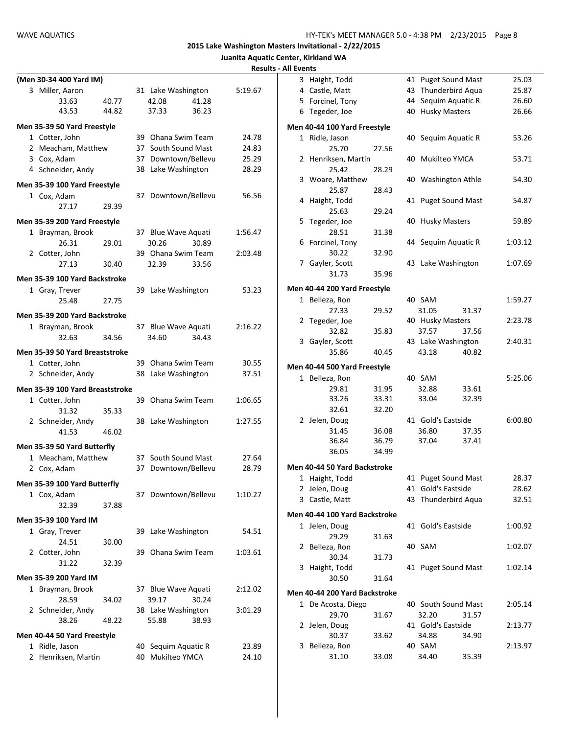|                                 |       |                     |       |         | <b>Results - All Events</b> |                               |       |                     |       |         |
|---------------------------------|-------|---------------------|-------|---------|-----------------------------|-------------------------------|-------|---------------------|-------|---------|
| (Men 30-34 400 Yard IM)         |       |                     |       |         |                             | 3 Haight, Todd                |       | 41 Puget Sound Mast |       | 25.03   |
| 3 Miller, Aaron                 |       | 31 Lake Washington  |       | 5:19.67 |                             | 4 Castle, Matt                |       | 43 Thunderbird Aqua |       | 25.87   |
| 33.63                           | 40.77 | 42.08               | 41.28 |         |                             | 5 Forcinel, Tony              |       | 44 Sequim Aquatic R |       | 26.60   |
| 43.53                           | 44.82 | 37.33               | 36.23 |         |                             | 6 Tegeder, Joe                |       | 40 Husky Masters    |       | 26.66   |
| Men 35-39 50 Yard Freestyle     |       |                     |       |         |                             | Men 40-44 100 Yard Freestyle  |       |                     |       |         |
| 1 Cotter, John                  |       | 39 Ohana Swim Team  |       | 24.78   |                             | 1 Ridle, Jason                |       | 40 Sequim Aquatic R |       | 53.26   |
| 2 Meacham, Matthew              |       | 37 South Sound Mast |       | 24.83   |                             | 25.70                         | 27.56 |                     |       |         |
| 3 Cox, Adam                     |       | 37 Downtown/Bellevu |       | 25.29   |                             | 2 Henriksen, Martin           |       | 40 Mukilteo YMCA    |       | 53.71   |
| 4 Schneider, Andy               |       | 38 Lake Washington  |       | 28.29   |                             | 25.42                         | 28.29 |                     |       |         |
| Men 35-39 100 Yard Freestyle    |       |                     |       |         |                             | 3 Woare, Matthew              |       | 40 Washington Athle |       | 54.30   |
| 1 Cox, Adam                     |       | 37 Downtown/Bellevu |       | 56.56   |                             | 25.87<br>4 Haight, Todd       | 28.43 | 41 Puget Sound Mast |       | 54.87   |
| 27.17                           | 29.39 |                     |       |         |                             | 25.63                         | 29.24 |                     |       |         |
| Men 35-39 200 Yard Freestyle    |       |                     |       |         |                             | 5 Tegeder, Joe                |       | 40 Husky Masters    |       | 59.89   |
| 1 Brayman, Brook                |       | 37 Blue Wave Aquati |       | 1:56.47 |                             | 28.51                         | 31.38 |                     |       |         |
| 26.31                           | 29.01 | 30.26               | 30.89 |         |                             | 6 Forcinel, Tony              |       | 44 Sequim Aquatic R |       | 1:03.12 |
| 2 Cotter, John                  |       | 39 Ohana Swim Team  |       | 2:03.48 |                             | 30.22                         | 32.90 |                     |       |         |
| 27.13                           | 30.40 | 32.39               | 33.56 |         |                             | 7 Gayler, Scott               |       | 43 Lake Washington  |       | 1:07.69 |
| Men 35-39 100 Yard Backstroke   |       |                     |       |         |                             | 31.73                         | 35.96 |                     |       |         |
| 1 Gray, Trever                  |       | 39 Lake Washington  |       | 53.23   |                             | Men 40-44 200 Yard Freestyle  |       |                     |       |         |
| 25.48                           | 27.75 |                     |       |         |                             | 1 Belleza, Ron                |       | 40 SAM              |       | 1:59.27 |
|                                 |       |                     |       |         |                             | 27.33                         | 29.52 | 31.05               | 31.37 |         |
| Men 35-39 200 Yard Backstroke   |       |                     |       |         |                             | 2 Tegeder, Joe                |       | 40 Husky Masters    |       | 2:23.78 |
| 1 Brayman, Brook                |       | 37 Blue Wave Aquati |       | 2:16.22 |                             | 32.82                         | 35.83 | 37.57               | 37.56 |         |
| 32.63                           | 34.56 | 34.60               | 34.43 |         |                             | 3 Gayler, Scott               |       | 43 Lake Washington  |       | 2:40.31 |
| Men 35-39 50 Yard Breaststroke  |       |                     |       |         |                             | 35.86                         | 40.45 | 43.18               | 40.82 |         |
| 1 Cotter, John                  |       | 39 Ohana Swim Team  |       | 30.55   |                             | Men 40-44 500 Yard Freestyle  |       |                     |       |         |
| 2 Schneider, Andy               |       | 38 Lake Washington  |       | 37.51   |                             | 1 Belleza, Ron                |       | 40 SAM              |       | 5:25.06 |
| Men 35-39 100 Yard Breaststroke |       |                     |       |         |                             | 29.81                         | 31.95 | 32.88               | 33.61 |         |
| 1 Cotter, John                  |       | 39 Ohana Swim Team  |       | 1:06.65 |                             | 33.26                         | 33.31 | 33.04               | 32.39 |         |
| 31.32                           | 35.33 |                     |       |         |                             | 32.61                         | 32.20 |                     |       |         |
| 2 Schneider, Andy               |       | 38 Lake Washington  |       | 1:27.55 |                             | 2 Jelen, Doug                 |       | 41 Gold's Eastside  |       | 6:00.80 |
| 41.53                           | 46.02 |                     |       |         |                             | 31.45                         | 36.08 | 36.80               | 37.35 |         |
| Men 35-39 50 Yard Butterfly     |       |                     |       |         |                             | 36.84                         | 36.79 | 37.04               | 37.41 |         |
| 1 Meacham, Matthew              |       | 37 South Sound Mast |       | 27.64   |                             | 36.05                         | 34.99 |                     |       |         |
| 2 Cox, Adam                     |       | 37 Downtown/Bellevu |       | 28.79   |                             | Men 40-44 50 Yard Backstroke  |       |                     |       |         |
|                                 |       |                     |       |         |                             | 1 Haight, Todd                |       | 41 Puget Sound Mast |       | 28.37   |
| Men 35-39 100 Yard Butterfly    |       |                     |       | 1:10.27 |                             | 2 Jelen, Doug                 |       | 41 Gold's Eastside  |       | 28.62   |
| 1 Cox, Adam<br>32.39            | 37.88 | 37 Downtown/Bellevu |       |         |                             | 3 Castle, Matt                |       | 43 Thunderbird Aqua |       | 32.51   |
|                                 |       |                     |       |         |                             | Men 40-44 100 Yard Backstroke |       |                     |       |         |
| Men 35-39 100 Yard IM           |       |                     |       |         |                             | 1 Jelen, Doug                 |       | 41 Gold's Eastside  |       | 1:00.92 |
| 1 Gray, Trever                  |       | 39 Lake Washington  |       | 54.51   |                             | 29.29                         | 31.63 |                     |       |         |
| 24.51                           | 30.00 |                     |       |         |                             | 2 Belleza, Ron                |       | 40 SAM              |       | 1:02.07 |
| 2 Cotter, John                  |       | 39 Ohana Swim Team  |       | 1:03.61 |                             | 30.34                         | 31.73 |                     |       |         |
| 31.22                           | 32.39 |                     |       |         |                             | 3 Haight, Todd                |       | 41 Puget Sound Mast |       | 1:02.14 |
| Men 35-39 200 Yard IM           |       |                     |       |         |                             | 30.50                         | 31.64 |                     |       |         |
| 1 Brayman, Brook                |       | 37 Blue Wave Aquati |       | 2:12.02 |                             | Men 40-44 200 Yard Backstroke |       |                     |       |         |
| 28.59                           | 34.02 | 39.17               | 30.24 |         |                             | 1 De Acosta, Diego            |       | 40 South Sound Mast |       | 2:05.14 |
| 2 Schneider, Andy               |       | 38 Lake Washington  |       | 3:01.29 |                             | 29.70                         | 31.67 | 32.20               | 31.57 |         |
| 38.26                           | 48.22 | 55.88               | 38.93 |         |                             | 2 Jelen, Doug                 |       | 41 Gold's Eastside  |       | 2:13.77 |
| Men 40-44 50 Yard Freestyle     |       |                     |       |         |                             | 30.37                         | 33.62 | 34.88               | 34.90 |         |
| 1 Ridle, Jason                  |       | 40 Sequim Aquatic R |       | 23.89   |                             | 3 Belleza, Ron                |       | 40 SAM              |       | 2:13.97 |
| 2 Henriksen, Martin             |       | 40 Mukilteo YMCA    |       | 24.10   |                             | 31.10                         | 33.08 | 34.40               | 35.39 |         |
|                                 |       |                     |       |         |                             |                               |       |                     |       |         |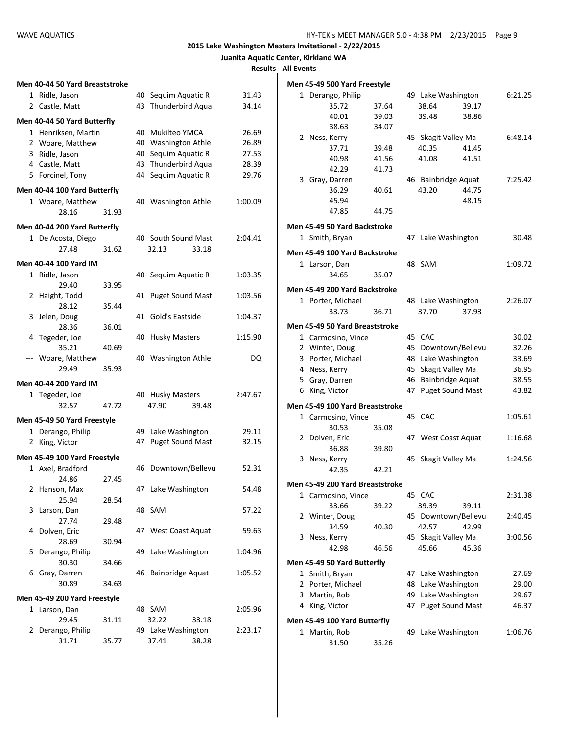| Men 40-44 50 Yard Breaststroke |       |    |                         |         | Men 45-49 500 Yard Freestyle    |                    |       |    |                     |       |         |
|--------------------------------|-------|----|-------------------------|---------|---------------------------------|--------------------|-------|----|---------------------|-------|---------|
| 1 Ridle, Jason                 |       |    | 40 Sequim Aquatic R     | 31.43   | 1 Derango, Philip               |                    |       |    | 49 Lake Washington  |       | 6:21.25 |
| 2 Castle, Matt                 |       |    | 43 Thunderbird Aqua     | 34.14   |                                 | 35.72              | 37.64 |    | 38.64               | 39.17 |         |
| Men 40-44 50 Yard Butterfly    |       |    |                         |         |                                 | 40.01              | 39.03 |    | 39.48               | 38.86 |         |
| 1 Henriksen, Martin            |       |    | 40 Mukilteo YMCA        | 26.69   |                                 | 38.63              | 34.07 |    |                     |       |         |
| 2 Woare, Matthew               |       | 40 | <b>Washington Athle</b> | 26.89   | 2 Ness, Kerry                   |                    |       |    | 45 Skagit Valley Ma |       | 6:48.14 |
| 3 Ridle, Jason                 |       | 40 | Sequim Aquatic R        | 27.53   |                                 | 37.71              | 39.48 |    | 40.35               | 41.45 |         |
| 4 Castle, Matt                 |       |    | 43 Thunderbird Aqua     | 28.39   |                                 | 40.98              | 41.56 |    | 41.08               | 41.51 |         |
| 5 Forcinel, Tony               |       |    | 44 Sequim Aquatic R     | 29.76   |                                 | 42.29              | 41.73 |    |                     |       |         |
|                                |       |    |                         |         | 3 Gray, Darren                  |                    |       |    | 46 Bainbridge Aquat |       | 7:25.42 |
| Men 40-44 100 Yard Butterfly   |       |    |                         |         |                                 | 36.29              | 40.61 |    | 43.20               | 44.75 |         |
| 1 Woare, Matthew               |       |    | 40 Washington Athle     | 1:00.09 |                                 | 45.94              |       |    |                     | 48.15 |         |
| 28.16                          | 31.93 |    |                         |         |                                 | 47.85              | 44.75 |    |                     |       |         |
| Men 40-44 200 Yard Butterfly   |       |    |                         |         | Men 45-49 50 Yard Backstroke    |                    |       |    |                     |       |         |
| 1 De Acosta, Diego             |       |    | 40 South Sound Mast     | 2:04.41 | 1 Smith, Bryan                  |                    |       |    | 47 Lake Washington  |       | 30.48   |
| 27.48                          | 31.62 |    | 33.18<br>32.13          |         | Men 45-49 100 Yard Backstroke   |                    |       |    |                     |       |         |
| Men 40-44 100 Yard IM          |       |    |                         |         | 1 Larson, Dan                   |                    |       |    | 48 SAM              |       | 1:09.72 |
| 1 Ridle, Jason                 |       |    | 40 Sequim Aquatic R     | 1:03.35 |                                 | 34.65              | 35.07 |    |                     |       |         |
| 29.40                          | 33.95 |    |                         |         | Men 45-49 200 Yard Backstroke   |                    |       |    |                     |       |         |
| 2 Haight, Todd                 |       |    | 41 Puget Sound Mast     | 1:03.56 | 1 Porter, Michael               |                    |       |    | 48 Lake Washington  |       | 2:26.07 |
| 28.12                          | 35.44 |    |                         |         |                                 | 33.73              | 36.71 |    | 37.70               | 37.93 |         |
| 3 Jelen, Doug                  |       |    | 41 Gold's Eastside      | 1:04.37 |                                 |                    |       |    |                     |       |         |
| 28.36                          | 36.01 |    |                         |         | Men 45-49 50 Yard Breaststroke  |                    |       |    |                     |       |         |
| 4 Tegeder, Joe                 |       |    | 40 Husky Masters        | 1:15.90 |                                 | 1 Carmosino, Vince |       |    | 45 CAC              |       | 30.02   |
| 35.21                          | 40.69 |    |                         |         | 2 Winter, Doug                  |                    |       | 45 | Downtown/Bellevu    |       | 32.26   |
| --- Woare, Matthew             |       |    | 40 Washington Athle     | DQ      | 3 Porter, Michael               |                    |       |    | 48 Lake Washington  |       | 33.69   |
| 29.49                          | 35.93 |    |                         |         | 4 Ness, Kerry                   |                    |       |    | 45 Skagit Valley Ma |       | 36.95   |
| Men 40-44 200 Yard IM          |       |    |                         |         | 5 Gray, Darren                  |                    |       |    | 46 Bainbridge Aquat |       | 38.55   |
| 1 Tegeder, Joe                 |       |    | 40 Husky Masters        | 2:47.67 | 6 King, Victor                  |                    |       |    | 47 Puget Sound Mast |       | 43.82   |
| 32.57                          | 47.72 |    | 47.90<br>39.48          |         | Men 45-49 100 Yard Breaststroke |                    |       |    |                     |       |         |
| Men 45-49 50 Yard Freestyle    |       |    |                         |         |                                 | 1 Carmosino, Vince |       |    | 45 CAC              |       | 1:05.61 |
| 1 Derango, Philip              |       |    | 49 Lake Washington      | 29.11   |                                 | 30.53              | 35.08 |    |                     |       |         |
| 2 King, Victor                 |       |    | 47 Puget Sound Mast     | 32.15   | 2 Dolven, Eric                  |                    |       |    | 47 West Coast Aquat |       | 1:16.68 |
| Men 45-49 100 Yard Freestyle   |       |    |                         |         |                                 | 36.88              | 39.80 |    |                     |       |         |
| 1 Axel, Bradford               |       |    | 46 Downtown/Bellevu     | 52.31   | 3 Ness, Kerry                   |                    |       |    | 45 Skagit Valley Ma |       | 1:24.56 |
| 24.86                          | 27.45 |    |                         |         |                                 | 42.35              | 42.21 |    |                     |       |         |
| 2 Hanson, Max                  |       |    | 47 Lake Washington      | 54.48   | Men 45-49 200 Yard Breaststroke |                    |       |    |                     |       |         |
| 25.94                          | 28.54 |    |                         |         |                                 | 1 Carmosino, Vince |       |    | 45 CAC              |       | 2:31.38 |
| 3 Larson, Dan                  |       |    | 48 SAM                  | 57.22   |                                 | 33.66              | 39.22 |    | 39.39               | 39.11 |         |
| 27.74                          | 29.48 |    |                         |         | 2 Winter, Doug                  |                    |       |    | 45 Downtown/Bellevu |       | 2:40.45 |
| 4 Dolven, Eric                 |       |    | 47 West Coast Aquat     | 59.63   |                                 | 34.59              | 40.30 |    | 42.57               | 42.99 |         |
| 28.69                          | 30.94 |    |                         |         | 3 Ness, Kerry                   |                    |       |    | 45 Skagit Valley Ma |       | 3:00.56 |
| 5 Derango, Philip              |       |    | 49 Lake Washington      | 1:04.96 |                                 | 42.98              | 46.56 |    | 45.66               | 45.36 |         |
| 30.30                          | 34.66 |    |                         |         | Men 45-49 50 Yard Butterfly     |                    |       |    |                     |       |         |
| 6 Gray, Darren                 |       |    | 46 Bainbridge Aquat     | 1:05.52 | 1 Smith, Bryan                  |                    |       |    | 47 Lake Washington  |       | 27.69   |
| 30.89                          | 34.63 |    |                         |         | 2 Porter, Michael               |                    |       |    | 48 Lake Washington  |       | 29.00   |
| Men 45-49 200 Yard Freestyle   |       |    |                         |         | 3 Martin, Rob                   |                    |       |    | 49 Lake Washington  |       | 29.67   |
| 1 Larson, Dan                  |       |    | 48 SAM                  | 2:05.96 | 4 King, Victor                  |                    |       |    | 47 Puget Sound Mast |       | 46.37   |
| 29.45                          | 31.11 |    | 32.22<br>33.18          |         | Men 45-49 100 Yard Butterfly    |                    |       |    |                     |       |         |
| 2 Derango, Philip              |       |    | 49 Lake Washington      | 2:23.17 | 1 Martin, Rob                   |                    |       |    | 49 Lake Washington  |       | 1:06.76 |
| 31.71                          | 35.77 |    | 37.41<br>38.28          |         |                                 | 31.50              | 35.26 |    |                     |       |         |
|                                |       |    |                         |         |                                 |                    |       |    |                     |       |         |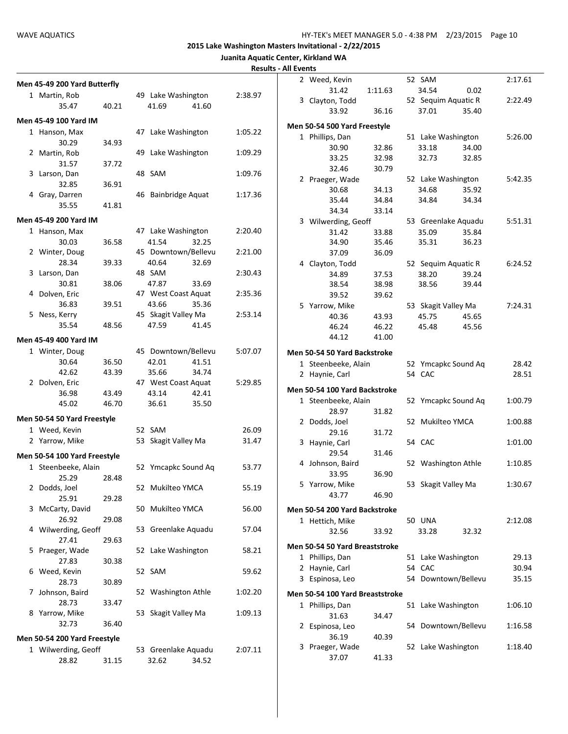|  | Juanita Aquatic Center, Kirkland WA |  |
|--|-------------------------------------|--|
|  |                                     |  |

|                              |       |                     |         | <b>Results - All Events</b> |                                 |         |                     |                     |         |
|------------------------------|-------|---------------------|---------|-----------------------------|---------------------------------|---------|---------------------|---------------------|---------|
| Men 45-49 200 Yard Butterfly |       |                     |         |                             | 2 Weed, Kevin                   |         | 52 SAM              |                     | 2:17.61 |
| 1 Martin, Rob                |       | 49 Lake Washington  | 2:38.97 |                             | 31.42                           | 1:11.63 | 34.54               | 0.02                |         |
| 35.47                        | 40.21 | 41.69<br>41.60      |         |                             | 3 Clayton, Todd                 |         |                     | 52 Sequim Aquatic R | 2:22.49 |
|                              |       |                     |         |                             | 33.92                           | 36.16   | 37.01               | 35.40               |         |
| Men 45-49 100 Yard IM        |       |                     |         |                             | Men 50-54 500 Yard Freestyle    |         |                     |                     |         |
| 1 Hanson, Max                |       | 47 Lake Washington  | 1:05.22 |                             | 1 Phillips, Dan                 |         |                     | 51 Lake Washington  | 5:26.00 |
| 30.29                        | 34.93 |                     |         |                             | 30.90                           | 32.86   | 33.18               | 34.00               |         |
| 2 Martin, Rob                |       | 49 Lake Washington  | 1:09.29 |                             | 33.25                           | 32.98   | 32.73               | 32.85               |         |
| 31.57                        | 37.72 |                     |         |                             | 32.46                           | 30.79   |                     |                     |         |
| 3 Larson, Dan                |       | 48 SAM              | 1:09.76 |                             | 2 Praeger, Wade                 |         |                     | 52 Lake Washington  | 5:42.35 |
| 32.85                        | 36.91 |                     |         |                             | 30.68                           | 34.13   | 34.68               | 35.92               |         |
| 4 Gray, Darren               |       | 46 Bainbridge Aquat | 1:17.36 |                             | 35.44                           | 34.84   | 34.84               | 34.34               |         |
| 35.55                        | 41.81 |                     |         |                             | 34.34                           | 33.14   |                     |                     |         |
| Men 45-49 200 Yard IM        |       |                     |         |                             | 3 Wilwerding, Geoff             |         |                     | 53 Greenlake Aquadu | 5:51.31 |
| 1 Hanson, Max                |       | 47 Lake Washington  | 2:20.40 |                             | 31.42                           | 33.88   | 35.09               | 35.84               |         |
| 30.03                        | 36.58 | 32.25<br>41.54      |         |                             | 34.90                           | 35.46   | 35.31               | 36.23               |         |
| 2 Winter, Doug               |       | 45 Downtown/Bellevu | 2:21.00 |                             | 37.09                           | 36.09   |                     |                     |         |
| 28.34                        | 39.33 | 40.64<br>32.69      |         |                             | 4 Clayton, Todd                 |         |                     | 52 Sequim Aquatic R | 6:24.52 |
| 3 Larson, Dan                |       | 48 SAM              | 2:30.43 |                             | 34.89                           | 37.53   | 38.20               | 39.24               |         |
| 30.81                        | 38.06 | 47.87<br>33.69      |         |                             | 38.54                           | 38.98   | 38.56               | 39.44               |         |
| 4 Dolven, Eric               |       | 47 West Coast Aquat | 2:35.36 |                             | 39.52                           | 39.62   |                     |                     |         |
| 36.83                        | 39.51 | 43.66<br>35.36      |         |                             | 5 Yarrow, Mike                  |         | 53 Skagit Valley Ma |                     | 7:24.31 |
| 5 Ness, Kerry                |       | 45 Skagit Valley Ma | 2:53.14 |                             | 40.36                           | 43.93   | 45.75               | 45.65               |         |
| 35.54                        | 48.56 | 47.59<br>41.45      |         |                             | 46.24                           | 46.22   | 45.48               | 45.56               |         |
| Men 45-49 400 Yard IM        |       |                     |         |                             | 44.12                           | 41.00   |                     |                     |         |
| 1 Winter, Doug               |       | 45 Downtown/Bellevu | 5:07.07 |                             |                                 |         |                     |                     |         |
| 30.64                        | 36.50 | 42.01<br>41.51      |         |                             | Men 50-54 50 Yard Backstroke    |         |                     |                     |         |
| 42.62                        | 43.39 | 35.66<br>34.74      |         |                             | 1 Steenbeeke, Alain             |         |                     | 52 Ymcapkc Sound Aq | 28.42   |
| 2 Dolven, Eric               |       | 47 West Coast Aquat | 5:29.85 |                             | 2 Haynie, Carl                  |         | 54 CAC              |                     | 28.51   |
| 36.98                        | 43.49 | 43.14<br>42.41      |         |                             | Men 50-54 100 Yard Backstroke   |         |                     |                     |         |
| 45.02                        | 46.70 | 36.61<br>35.50      |         |                             | 1 Steenbeeke, Alain             |         |                     | 52 Ymcapkc Sound Aq | 1:00.79 |
|                              |       |                     |         |                             | 28.97                           | 31.82   |                     |                     |         |
| Men 50-54 50 Yard Freestyle  |       |                     |         |                             | 2 Dodds, Joel                   |         | 52 Mukilteo YMCA    |                     | 1:00.88 |
| 1 Weed, Kevin                |       | 52 SAM              | 26.09   |                             | 29.16                           | 31.72   |                     |                     |         |
| 2 Yarrow, Mike               |       | 53 Skagit Valley Ma | 31.47   |                             | 3 Haynie, Carl                  |         | 54 CAC              |                     | 1:01.00 |
| Men 50-54 100 Yard Freestyle |       |                     |         |                             | 29.54                           | 31.46   |                     |                     |         |
| 1 Steenbeeke, Alain          |       | 52 Ymcapkc Sound Aq | 53.77   |                             | 4 Johnson, Baird                |         |                     | 52 Washington Athle | 1:10.85 |
| 25.29                        | 28.48 |                     |         |                             | 33.95                           | 36.90   |                     |                     |         |
| 2 Dodds, Joel                |       | 52 Mukilteo YMCA    | 55.19   |                             | 5 Yarrow, Mike                  |         | 53 Skagit Valley Ma |                     | 1:30.67 |
| 25.91                        | 29.28 |                     |         |                             | 43.77                           | 46.90   |                     |                     |         |
| 3 McCarty, David             |       | 50 Mukilteo YMCA    | 56.00   |                             | Men 50-54 200 Yard Backstroke   |         |                     |                     |         |
| 26.92                        | 29.08 |                     |         |                             | 1 Hettich, Mike                 |         | <b>50 UNA</b>       |                     | 2:12.08 |
| 4 Wilwerding, Geoff          |       | 53 Greenlake Aquadu | 57.04   |                             | 32.56                           | 33.92   | 33.28               | 32.32               |         |
| 27.41                        | 29.63 |                     |         |                             |                                 |         |                     |                     |         |
| 5 Praeger, Wade              |       | 52 Lake Washington  | 58.21   |                             | Men 50-54 50 Yard Breaststroke  |         |                     |                     |         |
| 27.83                        | 30.38 |                     |         |                             | 1 Phillips, Dan                 |         |                     | 51 Lake Washington  | 29.13   |
| 6 Weed, Kevin                |       | 52 SAM              | 59.62   |                             | 2 Haynie, Carl                  |         | 54 CAC              |                     | 30.94   |
| 28.73                        | 30.89 |                     |         |                             | 3 Espinosa, Leo                 |         |                     | 54 Downtown/Bellevu | 35.15   |
| 7 Johnson, Baird             |       | 52 Washington Athle | 1:02.20 |                             | Men 50-54 100 Yard Breaststroke |         |                     |                     |         |
| 28.73                        | 33.47 |                     |         |                             | 1 Phillips, Dan                 |         |                     | 51 Lake Washington  | 1:06.10 |
| 8 Yarrow, Mike               |       | 53 Skagit Valley Ma | 1:09.13 |                             | 31.63                           | 34.47   |                     |                     |         |
| 32.73                        | 36.40 |                     |         |                             | 2 Espinosa, Leo                 |         |                     | 54 Downtown/Bellevu | 1:16.58 |
|                              |       |                     |         |                             | 36.19                           | 40.39   |                     |                     |         |
| Men 50-54 200 Yard Freestyle |       |                     |         |                             | 3 Praeger, Wade                 |         |                     | 52 Lake Washington  | 1:18.40 |
| 1 Wilwerding, Geoff          |       | 53 Greenlake Aquadu | 2:07.11 |                             | 37.07                           | 41.33   |                     |                     |         |
| 28.82                        | 31.15 | 32.62<br>34.52      |         |                             |                                 |         |                     |                     |         |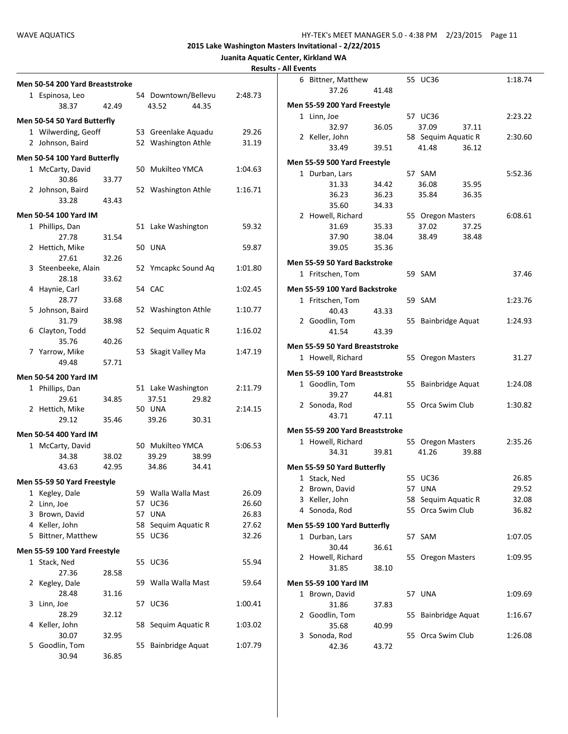| <b>Results - All Events</b> |
|-----------------------------|
|-----------------------------|

|                                 |       |                     |         | HESUILS - MILLYCHLS |                                 |       |                     |         |
|---------------------------------|-------|---------------------|---------|---------------------|---------------------------------|-------|---------------------|---------|
| Men 50-54 200 Yard Breaststroke |       |                     |         |                     | 6 Bittner, Matthew              |       | 55 UC36             | 1:18.74 |
| 1 Espinosa, Leo                 |       | 54 Downtown/Bellevu | 2:48.73 |                     | 37.26                           | 41.48 |                     |         |
| 38.37                           | 42.49 | 43.52<br>44.35      |         |                     | Men 55-59 200 Yard Freestyle    |       |                     |         |
|                                 |       |                     |         |                     | 1 Linn, Joe                     |       | 57 UC36             | 2:23.22 |
| Men 50-54 50 Yard Butterfly     |       |                     |         |                     | 32.97                           | 36.05 | 37.09<br>37.11      |         |
| 1 Wilwerding, Geoff             |       | 53 Greenlake Aquadu | 29.26   |                     | 2 Keller, John                  |       | 58 Sequim Aquatic R | 2:30.60 |
| 2 Johnson, Baird                |       | 52 Washington Athle | 31.19   |                     | 33.49                           | 39.51 | 41.48<br>36.12      |         |
| Men 50-54 100 Yard Butterfly    |       |                     |         |                     |                                 |       |                     |         |
| 1 McCarty, David                |       | 50 Mukilteo YMCA    | 1:04.63 |                     | Men 55-59 500 Yard Freestyle    |       |                     |         |
| 30.86                           | 33.77 |                     |         |                     | 1 Durban, Lars                  |       | 57 SAM              | 5:52.36 |
| 2 Johnson, Baird                |       | 52 Washington Athle | 1:16.71 |                     | 31.33                           | 34.42 | 36.08<br>35.95      |         |
| 33.28                           | 43.43 |                     |         |                     | 36.23                           | 36.23 | 35.84<br>36.35      |         |
|                                 |       |                     |         |                     | 35.60                           | 34.33 |                     |         |
| <b>Men 50-54 100 Yard IM</b>    |       |                     |         |                     | 2 Howell, Richard               |       | 55 Oregon Masters   | 6:08.61 |
| 1 Phillips, Dan                 |       | 51 Lake Washington  | 59.32   |                     | 31.69                           | 35.33 | 37.02<br>37.25      |         |
| 27.78                           | 31.54 |                     |         |                     | 37.90                           | 38.04 | 38.49<br>38.48      |         |
| 2 Hettich, Mike                 |       | <b>50 UNA</b>       | 59.87   |                     | 39.05                           | 35.36 |                     |         |
| 27.61                           | 32.26 |                     |         |                     | Men 55-59 50 Yard Backstroke    |       |                     |         |
| 3 Steenbeeke, Alain             |       | 52 Ymcapkc Sound Aq | 1:01.80 |                     | 1 Fritschen, Tom                |       | 59 SAM              | 37.46   |
| 28.18                           | 33.62 |                     |         |                     |                                 |       |                     |         |
| 4 Haynie, Carl                  |       | 54 CAC              | 1:02.45 |                     | Men 55-59 100 Yard Backstroke   |       |                     |         |
| 28.77                           | 33.68 |                     |         |                     | 1 Fritschen, Tom                |       | 59 SAM              | 1:23.76 |
| 5 Johnson, Baird                |       | 52 Washington Athle | 1:10.77 |                     | 40.43                           | 43.33 |                     |         |
| 31.79                           | 38.98 |                     |         |                     | 2 Goodlin, Tom                  |       | 55 Bainbridge Aquat | 1:24.93 |
| 6 Clayton, Todd                 |       | 52 Sequim Aquatic R | 1:16.02 |                     | 41.54                           | 43.39 |                     |         |
| 35.76                           | 40.26 |                     |         |                     | Men 55-59 50 Yard Breaststroke  |       |                     |         |
| 7 Yarrow, Mike<br>49.48         | 57.71 | 53 Skagit Valley Ma | 1:47.19 |                     | 1 Howell, Richard               |       | 55 Oregon Masters   | 31.27   |
|                                 |       |                     |         |                     | Men 55-59 100 Yard Breaststroke |       |                     |         |
| Men 50-54 200 Yard IM           |       |                     |         |                     |                                 |       |                     |         |
| 1 Phillips, Dan                 |       | 51 Lake Washington  | 2:11.79 |                     | 1 Goodlin, Tom                  |       | 55 Bainbridge Aquat | 1:24.08 |
| 29.61                           | 34.85 | 37.51<br>29.82      |         |                     | 39.27                           | 44.81 | 55 Orca Swim Club   | 1:30.82 |
| 2 Hettich, Mike                 |       | <b>50 UNA</b>       | 2:14.15 |                     | 2 Sonoda, Rod<br>43.71          | 47.11 |                     |         |
| 29.12                           | 35.46 | 39.26<br>30.31      |         |                     |                                 |       |                     |         |
| Men 50-54 400 Yard IM           |       |                     |         |                     | Men 55-59 200 Yard Breaststroke |       |                     |         |
| 1 McCarty, David                |       | 50 Mukilteo YMCA    | 5:06.53 |                     | 1 Howell, Richard               |       | 55 Oregon Masters   | 2:35.26 |
| 34.38                           | 38.02 | 39.29<br>38.99      |         |                     | 34.31                           | 39.81 | 41.26<br>39.88      |         |
| 43.63                           | 42.95 | 34.86<br>34.41      |         |                     | Men 55-59 50 Yard Butterfly     |       |                     |         |
|                                 |       |                     |         |                     | 1 Stack, Ned                    |       | 55 UC36             | 26.85   |
| Men 55-59 50 Yard Freestyle     |       |                     |         |                     | 2 Brown, David                  |       | 57 UNA              | 29.52   |
| 1 Kegley, Dale                  |       | 59 Walla Walla Mast | 26.09   |                     | 3 Keller, John                  |       | 58 Sequim Aquatic R | 32.08   |
| 2 Linn, Joe                     |       | 57 UC36             | 26.60   |                     | 4 Sonoda, Rod                   |       | 55 Orca Swim Club   | 36.82   |
| 3 Brown, David                  |       | 57 UNA              | 26.83   |                     |                                 |       |                     |         |
| 4 Keller, John                  |       | 58 Sequim Aquatic R | 27.62   |                     | Men 55-59 100 Yard Butterfly    |       |                     |         |
| 5 Bittner, Matthew              |       | 55 UC36             | 32.26   |                     | 1 Durban, Lars                  |       | 57 SAM              | 1:07.05 |
| Men 55-59 100 Yard Freestyle    |       |                     |         |                     | 30.44                           | 36.61 |                     |         |
| 1 Stack, Ned                    |       | 55 UC36             | 55.94   |                     | 2 Howell, Richard               |       | 55 Oregon Masters   | 1:09.95 |
| 27.36                           | 28.58 |                     |         |                     | 31.85                           | 38.10 |                     |         |
| 2 Kegley, Dale                  |       | 59 Walla Walla Mast | 59.64   |                     | Men 55-59 100 Yard IM           |       |                     |         |
| 28.48                           | 31.16 |                     |         |                     | 1 Brown, David                  |       | 57 UNA              | 1:09.69 |
| 3 Linn, Joe                     |       | 57 UC36             | 1:00.41 |                     | 31.86                           | 37.83 |                     |         |
| 28.29                           | 32.12 |                     |         |                     | 2 Goodlin, Tom                  |       | 55 Bainbridge Aquat | 1:16.67 |
| 4 Keller, John                  |       | 58 Sequim Aquatic R | 1:03.02 |                     | 35.68                           | 40.99 |                     |         |
| 30.07                           | 32.95 |                     |         |                     | 3 Sonoda, Rod                   |       | 55 Orca Swim Club   | 1:26.08 |
| 5 Goodlin, Tom                  |       | 55 Bainbridge Aquat | 1:07.79 |                     | 42.36                           | 43.72 |                     |         |
| 30.94                           | 36.85 |                     |         |                     |                                 |       |                     |         |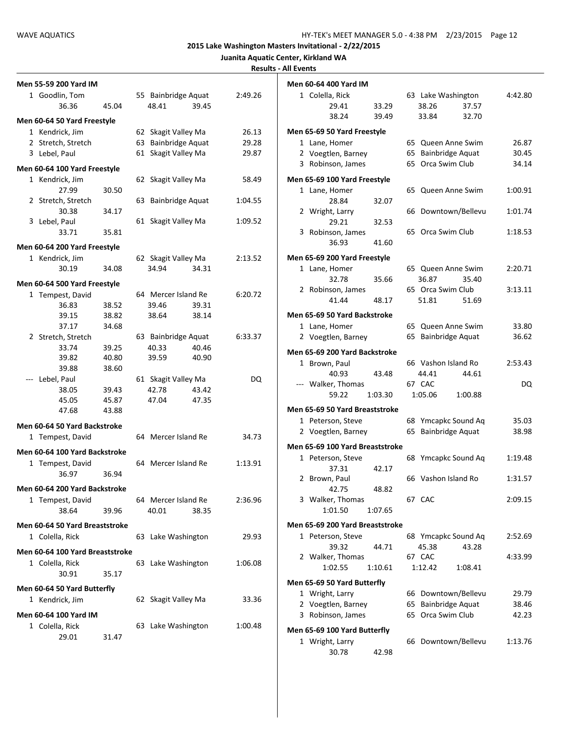| 45.04                           | 55 Bainbridge Aquat                                                                                                                                                                                                                                                                                        | 2:49.26                                            | Men 60-64 400 Yard IM<br>1 Colella, Rick                                                                                                                                                                                                                                                                                                                                                                                                                                                                                                                                                               |                                                                                                                                                                                                                                                                                                                                                                                                                                                                                                          | 63 Lake Washington                                                                                                                                                                                                                                                                                                                                                                                           | 4:42.80                                                                                                                                                                                                                                                                                                                                                                                                                                                                                                                                         |
|---------------------------------|------------------------------------------------------------------------------------------------------------------------------------------------------------------------------------------------------------------------------------------------------------------------------------------------------------|----------------------------------------------------|--------------------------------------------------------------------------------------------------------------------------------------------------------------------------------------------------------------------------------------------------------------------------------------------------------------------------------------------------------------------------------------------------------------------------------------------------------------------------------------------------------------------------------------------------------------------------------------------------------|----------------------------------------------------------------------------------------------------------------------------------------------------------------------------------------------------------------------------------------------------------------------------------------------------------------------------------------------------------------------------------------------------------------------------------------------------------------------------------------------------------|--------------------------------------------------------------------------------------------------------------------------------------------------------------------------------------------------------------------------------------------------------------------------------------------------------------------------------------------------------------------------------------------------------------|-------------------------------------------------------------------------------------------------------------------------------------------------------------------------------------------------------------------------------------------------------------------------------------------------------------------------------------------------------------------------------------------------------------------------------------------------------------------------------------------------------------------------------------------------|
|                                 |                                                                                                                                                                                                                                                                                                            |                                                    |                                                                                                                                                                                                                                                                                                                                                                                                                                                                                                                                                                                                        |                                                                                                                                                                                                                                                                                                                                                                                                                                                                                                          |                                                                                                                                                                                                                                                                                                                                                                                                              |                                                                                                                                                                                                                                                                                                                                                                                                                                                                                                                                                 |
|                                 |                                                                                                                                                                                                                                                                                                            |                                                    |                                                                                                                                                                                                                                                                                                                                                                                                                                                                                                                                                                                                        |                                                                                                                                                                                                                                                                                                                                                                                                                                                                                                          |                                                                                                                                                                                                                                                                                                                                                                                                              |                                                                                                                                                                                                                                                                                                                                                                                                                                                                                                                                                 |
|                                 | 48.41                                                                                                                                                                                                                                                                                                      | 39.45                                              | 29.41                                                                                                                                                                                                                                                                                                                                                                                                                                                                                                                                                                                                  | 33.29                                                                                                                                                                                                                                                                                                                                                                                                                                                                                                    | 38.26<br>37.57                                                                                                                                                                                                                                                                                                                                                                                               |                                                                                                                                                                                                                                                                                                                                                                                                                                                                                                                                                 |
| Men 60-64 50 Yard Freestyle     |                                                                                                                                                                                                                                                                                                            |                                                    | 38.24                                                                                                                                                                                                                                                                                                                                                                                                                                                                                                                                                                                                  | 39.49                                                                                                                                                                                                                                                                                                                                                                                                                                                                                                    | 32.70<br>33.84                                                                                                                                                                                                                                                                                                                                                                                               |                                                                                                                                                                                                                                                                                                                                                                                                                                                                                                                                                 |
|                                 |                                                                                                                                                                                                                                                                                                            | 26.13                                              |                                                                                                                                                                                                                                                                                                                                                                                                                                                                                                                                                                                                        |                                                                                                                                                                                                                                                                                                                                                                                                                                                                                                          |                                                                                                                                                                                                                                                                                                                                                                                                              |                                                                                                                                                                                                                                                                                                                                                                                                                                                                                                                                                 |
|                                 |                                                                                                                                                                                                                                                                                                            |                                                    |                                                                                                                                                                                                                                                                                                                                                                                                                                                                                                                                                                                                        |                                                                                                                                                                                                                                                                                                                                                                                                                                                                                                          |                                                                                                                                                                                                                                                                                                                                                                                                              | 26.87                                                                                                                                                                                                                                                                                                                                                                                                                                                                                                                                           |
|                                 |                                                                                                                                                                                                                                                                                                            |                                                    |                                                                                                                                                                                                                                                                                                                                                                                                                                                                                                                                                                                                        |                                                                                                                                                                                                                                                                                                                                                                                                                                                                                                          |                                                                                                                                                                                                                                                                                                                                                                                                              | 30.45                                                                                                                                                                                                                                                                                                                                                                                                                                                                                                                                           |
|                                 |                                                                                                                                                                                                                                                                                                            |                                                    |                                                                                                                                                                                                                                                                                                                                                                                                                                                                                                                                                                                                        |                                                                                                                                                                                                                                                                                                                                                                                                                                                                                                          |                                                                                                                                                                                                                                                                                                                                                                                                              | 34.14                                                                                                                                                                                                                                                                                                                                                                                                                                                                                                                                           |
|                                 |                                                                                                                                                                                                                                                                                                            |                                                    |                                                                                                                                                                                                                                                                                                                                                                                                                                                                                                                                                                                                        |                                                                                                                                                                                                                                                                                                                                                                                                                                                                                                          |                                                                                                                                                                                                                                                                                                                                                                                                              |                                                                                                                                                                                                                                                                                                                                                                                                                                                                                                                                                 |
|                                 |                                                                                                                                                                                                                                                                                                            |                                                    |                                                                                                                                                                                                                                                                                                                                                                                                                                                                                                                                                                                                        |                                                                                                                                                                                                                                                                                                                                                                                                                                                                                                          |                                                                                                                                                                                                                                                                                                                                                                                                              |                                                                                                                                                                                                                                                                                                                                                                                                                                                                                                                                                 |
|                                 |                                                                                                                                                                                                                                                                                                            |                                                    |                                                                                                                                                                                                                                                                                                                                                                                                                                                                                                                                                                                                        |                                                                                                                                                                                                                                                                                                                                                                                                                                                                                                          |                                                                                                                                                                                                                                                                                                                                                                                                              | 1:00.91                                                                                                                                                                                                                                                                                                                                                                                                                                                                                                                                         |
|                                 |                                                                                                                                                                                                                                                                                                            |                                                    |                                                                                                                                                                                                                                                                                                                                                                                                                                                                                                                                                                                                        |                                                                                                                                                                                                                                                                                                                                                                                                                                                                                                          |                                                                                                                                                                                                                                                                                                                                                                                                              | 1:01.74                                                                                                                                                                                                                                                                                                                                                                                                                                                                                                                                         |
|                                 |                                                                                                                                                                                                                                                                                                            |                                                    |                                                                                                                                                                                                                                                                                                                                                                                                                                                                                                                                                                                                        |                                                                                                                                                                                                                                                                                                                                                                                                                                                                                                          |                                                                                                                                                                                                                                                                                                                                                                                                              |                                                                                                                                                                                                                                                                                                                                                                                                                                                                                                                                                 |
|                                 |                                                                                                                                                                                                                                                                                                            |                                                    |                                                                                                                                                                                                                                                                                                                                                                                                                                                                                                                                                                                                        |                                                                                                                                                                                                                                                                                                                                                                                                                                                                                                          |                                                                                                                                                                                                                                                                                                                                                                                                              | 1:18.53                                                                                                                                                                                                                                                                                                                                                                                                                                                                                                                                         |
|                                 |                                                                                                                                                                                                                                                                                                            |                                                    |                                                                                                                                                                                                                                                                                                                                                                                                                                                                                                                                                                                                        |                                                                                                                                                                                                                                                                                                                                                                                                                                                                                                          |                                                                                                                                                                                                                                                                                                                                                                                                              |                                                                                                                                                                                                                                                                                                                                                                                                                                                                                                                                                 |
|                                 |                                                                                                                                                                                                                                                                                                            |                                                    |                                                                                                                                                                                                                                                                                                                                                                                                                                                                                                                                                                                                        |                                                                                                                                                                                                                                                                                                                                                                                                                                                                                                          |                                                                                                                                                                                                                                                                                                                                                                                                              |                                                                                                                                                                                                                                                                                                                                                                                                                                                                                                                                                 |
|                                 |                                                                                                                                                                                                                                                                                                            |                                                    |                                                                                                                                                                                                                                                                                                                                                                                                                                                                                                                                                                                                        |                                                                                                                                                                                                                                                                                                                                                                                                                                                                                                          |                                                                                                                                                                                                                                                                                                                                                                                                              |                                                                                                                                                                                                                                                                                                                                                                                                                                                                                                                                                 |
|                                 |                                                                                                                                                                                                                                                                                                            |                                                    |                                                                                                                                                                                                                                                                                                                                                                                                                                                                                                                                                                                                        |                                                                                                                                                                                                                                                                                                                                                                                                                                                                                                          |                                                                                                                                                                                                                                                                                                                                                                                                              | 2:20.71                                                                                                                                                                                                                                                                                                                                                                                                                                                                                                                                         |
| Men 60-64 500 Yard Freestyle    |                                                                                                                                                                                                                                                                                                            |                                                    |                                                                                                                                                                                                                                                                                                                                                                                                                                                                                                                                                                                                        |                                                                                                                                                                                                                                                                                                                                                                                                                                                                                                          |                                                                                                                                                                                                                                                                                                                                                                                                              | 3:13.11                                                                                                                                                                                                                                                                                                                                                                                                                                                                                                                                         |
|                                 |                                                                                                                                                                                                                                                                                                            | 6:20.72                                            |                                                                                                                                                                                                                                                                                                                                                                                                                                                                                                                                                                                                        |                                                                                                                                                                                                                                                                                                                                                                                                                                                                                                          |                                                                                                                                                                                                                                                                                                                                                                                                              |                                                                                                                                                                                                                                                                                                                                                                                                                                                                                                                                                 |
| 38.52                           | 39.46                                                                                                                                                                                                                                                                                                      |                                                    |                                                                                                                                                                                                                                                                                                                                                                                                                                                                                                                                                                                                        |                                                                                                                                                                                                                                                                                                                                                                                                                                                                                                          |                                                                                                                                                                                                                                                                                                                                                                                                              |                                                                                                                                                                                                                                                                                                                                                                                                                                                                                                                                                 |
| 38.82                           | 38.64                                                                                                                                                                                                                                                                                                      |                                                    |                                                                                                                                                                                                                                                                                                                                                                                                                                                                                                                                                                                                        |                                                                                                                                                                                                                                                                                                                                                                                                                                                                                                          |                                                                                                                                                                                                                                                                                                                                                                                                              |                                                                                                                                                                                                                                                                                                                                                                                                                                                                                                                                                 |
|                                 |                                                                                                                                                                                                                                                                                                            |                                                    | 1 Lane, Homer                                                                                                                                                                                                                                                                                                                                                                                                                                                                                                                                                                                          |                                                                                                                                                                                                                                                                                                                                                                                                                                                                                                          |                                                                                                                                                                                                                                                                                                                                                                                                              | 33.80                                                                                                                                                                                                                                                                                                                                                                                                                                                                                                                                           |
|                                 |                                                                                                                                                                                                                                                                                                            |                                                    |                                                                                                                                                                                                                                                                                                                                                                                                                                                                                                                                                                                                        |                                                                                                                                                                                                                                                                                                                                                                                                                                                                                                          |                                                                                                                                                                                                                                                                                                                                                                                                              | 36.62                                                                                                                                                                                                                                                                                                                                                                                                                                                                                                                                           |
|                                 |                                                                                                                                                                                                                                                                                                            |                                                    |                                                                                                                                                                                                                                                                                                                                                                                                                                                                                                                                                                                                        |                                                                                                                                                                                                                                                                                                                                                                                                                                                                                                          |                                                                                                                                                                                                                                                                                                                                                                                                              |                                                                                                                                                                                                                                                                                                                                                                                                                                                                                                                                                 |
|                                 |                                                                                                                                                                                                                                                                                                            |                                                    |                                                                                                                                                                                                                                                                                                                                                                                                                                                                                                                                                                                                        |                                                                                                                                                                                                                                                                                                                                                                                                                                                                                                          |                                                                                                                                                                                                                                                                                                                                                                                                              | 2:53.43                                                                                                                                                                                                                                                                                                                                                                                                                                                                                                                                         |
|                                 |                                                                                                                                                                                                                                                                                                            |                                                    | 40.93                                                                                                                                                                                                                                                                                                                                                                                                                                                                                                                                                                                                  | 43.48                                                                                                                                                                                                                                                                                                                                                                                                                                                                                                    | 44.41<br>44.61                                                                                                                                                                                                                                                                                                                                                                                               |                                                                                                                                                                                                                                                                                                                                                                                                                                                                                                                                                 |
|                                 |                                                                                                                                                                                                                                                                                                            |                                                    | --- Walker, Thomas                                                                                                                                                                                                                                                                                                                                                                                                                                                                                                                                                                                     |                                                                                                                                                                                                                                                                                                                                                                                                                                                                                                          |                                                                                                                                                                                                                                                                                                                                                                                                              | DQ                                                                                                                                                                                                                                                                                                                                                                                                                                                                                                                                              |
|                                 |                                                                                                                                                                                                                                                                                                            |                                                    | 59.22                                                                                                                                                                                                                                                                                                                                                                                                                                                                                                                                                                                                  |                                                                                                                                                                                                                                                                                                                                                                                                                                                                                                          | 1:05.06<br>1:00.88                                                                                                                                                                                                                                                                                                                                                                                           |                                                                                                                                                                                                                                                                                                                                                                                                                                                                                                                                                 |
|                                 |                                                                                                                                                                                                                                                                                                            |                                                    |                                                                                                                                                                                                                                                                                                                                                                                                                                                                                                                                                                                                        |                                                                                                                                                                                                                                                                                                                                                                                                                                                                                                          |                                                                                                                                                                                                                                                                                                                                                                                                              |                                                                                                                                                                                                                                                                                                                                                                                                                                                                                                                                                 |
|                                 |                                                                                                                                                                                                                                                                                                            |                                                    |                                                                                                                                                                                                                                                                                                                                                                                                                                                                                                                                                                                                        |                                                                                                                                                                                                                                                                                                                                                                                                                                                                                                          |                                                                                                                                                                                                                                                                                                                                                                                                              | 35.03                                                                                                                                                                                                                                                                                                                                                                                                                                                                                                                                           |
|                                 |                                                                                                                                                                                                                                                                                                            |                                                    |                                                                                                                                                                                                                                                                                                                                                                                                                                                                                                                                                                                                        |                                                                                                                                                                                                                                                                                                                                                                                                                                                                                                          |                                                                                                                                                                                                                                                                                                                                                                                                              | 38.98                                                                                                                                                                                                                                                                                                                                                                                                                                                                                                                                           |
|                                 |                                                                                                                                                                                                                                                                                                            |                                                    |                                                                                                                                                                                                                                                                                                                                                                                                                                                                                                                                                                                                        |                                                                                                                                                                                                                                                                                                                                                                                                                                                                                                          |                                                                                                                                                                                                                                                                                                                                                                                                              |                                                                                                                                                                                                                                                                                                                                                                                                                                                                                                                                                 |
| Men 60-64 100 Yard Backstroke   |                                                                                                                                                                                                                                                                                                            |                                                    |                                                                                                                                                                                                                                                                                                                                                                                                                                                                                                                                                                                                        |                                                                                                                                                                                                                                                                                                                                                                                                                                                                                                          |                                                                                                                                                                                                                                                                                                                                                                                                              |                                                                                                                                                                                                                                                                                                                                                                                                                                                                                                                                                 |
|                                 |                                                                                                                                                                                                                                                                                                            | 1:13.91                                            |                                                                                                                                                                                                                                                                                                                                                                                                                                                                                                                                                                                                        |                                                                                                                                                                                                                                                                                                                                                                                                                                                                                                          |                                                                                                                                                                                                                                                                                                                                                                                                              | 1:19.48                                                                                                                                                                                                                                                                                                                                                                                                                                                                                                                                         |
| 36.94                           |                                                                                                                                                                                                                                                                                                            |                                                    |                                                                                                                                                                                                                                                                                                                                                                                                                                                                                                                                                                                                        |                                                                                                                                                                                                                                                                                                                                                                                                                                                                                                          |                                                                                                                                                                                                                                                                                                                                                                                                              | 1:31.57                                                                                                                                                                                                                                                                                                                                                                                                                                                                                                                                         |
|                                 |                                                                                                                                                                                                                                                                                                            |                                                    |                                                                                                                                                                                                                                                                                                                                                                                                                                                                                                                                                                                                        |                                                                                                                                                                                                                                                                                                                                                                                                                                                                                                          |                                                                                                                                                                                                                                                                                                                                                                                                              |                                                                                                                                                                                                                                                                                                                                                                                                                                                                                                                                                 |
|                                 |                                                                                                                                                                                                                                                                                                            |                                                    |                                                                                                                                                                                                                                                                                                                                                                                                                                                                                                                                                                                                        |                                                                                                                                                                                                                                                                                                                                                                                                                                                                                                          |                                                                                                                                                                                                                                                                                                                                                                                                              | 2:09.15                                                                                                                                                                                                                                                                                                                                                                                                                                                                                                                                         |
|                                 |                                                                                                                                                                                                                                                                                                            |                                                    |                                                                                                                                                                                                                                                                                                                                                                                                                                                                                                                                                                                                        |                                                                                                                                                                                                                                                                                                                                                                                                                                                                                                          |                                                                                                                                                                                                                                                                                                                                                                                                              |                                                                                                                                                                                                                                                                                                                                                                                                                                                                                                                                                 |
|                                 |                                                                                                                                                                                                                                                                                                            |                                                    |                                                                                                                                                                                                                                                                                                                                                                                                                                                                                                                                                                                                        |                                                                                                                                                                                                                                                                                                                                                                                                                                                                                                          |                                                                                                                                                                                                                                                                                                                                                                                                              |                                                                                                                                                                                                                                                                                                                                                                                                                                                                                                                                                 |
|                                 |                                                                                                                                                                                                                                                                                                            |                                                    |                                                                                                                                                                                                                                                                                                                                                                                                                                                                                                                                                                                                        |                                                                                                                                                                                                                                                                                                                                                                                                                                                                                                          |                                                                                                                                                                                                                                                                                                                                                                                                              |                                                                                                                                                                                                                                                                                                                                                                                                                                                                                                                                                 |
|                                 |                                                                                                                                                                                                                                                                                                            |                                                    |                                                                                                                                                                                                                                                                                                                                                                                                                                                                                                                                                                                                        |                                                                                                                                                                                                                                                                                                                                                                                                                                                                                                          |                                                                                                                                                                                                                                                                                                                                                                                                              | 2:52.69                                                                                                                                                                                                                                                                                                                                                                                                                                                                                                                                         |
| Men 60-64 100 Yard Breaststroke |                                                                                                                                                                                                                                                                                                            |                                                    |                                                                                                                                                                                                                                                                                                                                                                                                                                                                                                                                                                                                        |                                                                                                                                                                                                                                                                                                                                                                                                                                                                                                          |                                                                                                                                                                                                                                                                                                                                                                                                              | 4:33.99                                                                                                                                                                                                                                                                                                                                                                                                                                                                                                                                         |
|                                 |                                                                                                                                                                                                                                                                                                            | 1:06.08                                            |                                                                                                                                                                                                                                                                                                                                                                                                                                                                                                                                                                                                        |                                                                                                                                                                                                                                                                                                                                                                                                                                                                                                          |                                                                                                                                                                                                                                                                                                                                                                                                              |                                                                                                                                                                                                                                                                                                                                                                                                                                                                                                                                                 |
| 35.17                           |                                                                                                                                                                                                                                                                                                            |                                                    |                                                                                                                                                                                                                                                                                                                                                                                                                                                                                                                                                                                                        |                                                                                                                                                                                                                                                                                                                                                                                                                                                                                                          |                                                                                                                                                                                                                                                                                                                                                                                                              |                                                                                                                                                                                                                                                                                                                                                                                                                                                                                                                                                 |
|                                 |                                                                                                                                                                                                                                                                                                            |                                                    |                                                                                                                                                                                                                                                                                                                                                                                                                                                                                                                                                                                                        |                                                                                                                                                                                                                                                                                                                                                                                                                                                                                                          |                                                                                                                                                                                                                                                                                                                                                                                                              |                                                                                                                                                                                                                                                                                                                                                                                                                                                                                                                                                 |
|                                 |                                                                                                                                                                                                                                                                                                            |                                                    |                                                                                                                                                                                                                                                                                                                                                                                                                                                                                                                                                                                                        |                                                                                                                                                                                                                                                                                                                                                                                                                                                                                                          |                                                                                                                                                                                                                                                                                                                                                                                                              | 29.79                                                                                                                                                                                                                                                                                                                                                                                                                                                                                                                                           |
|                                 |                                                                                                                                                                                                                                                                                                            |                                                    |                                                                                                                                                                                                                                                                                                                                                                                                                                                                                                                                                                                                        |                                                                                                                                                                                                                                                                                                                                                                                                                                                                                                          |                                                                                                                                                                                                                                                                                                                                                                                                              | 38.46                                                                                                                                                                                                                                                                                                                                                                                                                                                                                                                                           |
|                                 |                                                                                                                                                                                                                                                                                                            |                                                    |                                                                                                                                                                                                                                                                                                                                                                                                                                                                                                                                                                                                        |                                                                                                                                                                                                                                                                                                                                                                                                                                                                                                          |                                                                                                                                                                                                                                                                                                                                                                                                              | 42.23                                                                                                                                                                                                                                                                                                                                                                                                                                                                                                                                           |
|                                 |                                                                                                                                                                                                                                                                                                            |                                                    | Men 65-69 100 Yard Butterfly                                                                                                                                                                                                                                                                                                                                                                                                                                                                                                                                                                           |                                                                                                                                                                                                                                                                                                                                                                                                                                                                                                          |                                                                                                                                                                                                                                                                                                                                                                                                              |                                                                                                                                                                                                                                                                                                                                                                                                                                                                                                                                                 |
| 31.47                           |                                                                                                                                                                                                                                                                                                            |                                                    |                                                                                                                                                                                                                                                                                                                                                                                                                                                                                                                                                                                                        |                                                                                                                                                                                                                                                                                                                                                                                                                                                                                                          |                                                                                                                                                                                                                                                                                                                                                                                                              |                                                                                                                                                                                                                                                                                                                                                                                                                                                                                                                                                 |
|                                 |                                                                                                                                                                                                                                                                                                            |                                                    | 1 Wright, Larry                                                                                                                                                                                                                                                                                                                                                                                                                                                                                                                                                                                        |                                                                                                                                                                                                                                                                                                                                                                                                                                                                                                          | 66 Downtown/Bellevu                                                                                                                                                                                                                                                                                                                                                                                          | 1:13.76                                                                                                                                                                                                                                                                                                                                                                                                                                                                                                                                         |
|                                 | Men 60-64 100 Yard Freestyle<br>30.50<br>34.17<br>35.81<br>Men 60-64 200 Yard Freestyle<br>34.08<br>34.68<br>39.25<br>40.80<br>38.60<br>39.43<br>45.87<br>43.88<br>Men 60-64 50 Yard Backstroke<br>Men 60-64 200 Yard Backstroke<br>39.96<br>Men 60-64 50 Yard Breaststroke<br>Men 60-64 50 Yard Butterfly | 34.94<br>40.33<br>39.59<br>42.78<br>47.04<br>40.01 | 62 Skagit Valley Ma<br>29.28<br>63 Bainbridge Aquat<br>61 Skagit Valley Ma<br>29.87<br>62 Skagit Valley Ma<br>58.49<br>1:04.55<br>63 Bainbridge Aquat<br>61 Skagit Valley Ma<br>1:09.52<br>62 Skagit Valley Ma<br>2:13.52<br>34.31<br>64 Mercer Island Re<br>39.31<br>38.14<br>6:33.37<br>63 Bainbridge Aquat<br>40.46<br>40.90<br>61 Skagit Valley Ma<br>DQ<br>43.42<br>47.35<br>64 Mercer Island Re<br>34.73<br>64 Mercer Island Re<br>64 Mercer Island Re<br>2:36.96<br>38.35<br>63 Lake Washington<br>29.93<br>63 Lake Washington<br>62 Skagit Valley Ma<br>33.36<br>63 Lake Washington<br>1:00.48 | 1 Lane, Homer<br>2 Voegtlen, Barney<br>3 Robinson, James<br>1 Lane, Homer<br>28.84<br>2 Wright, Larry<br>29.21<br>3 Robinson, James<br>36.93<br>1 Lane, Homer<br>32.78<br>2 Robinson, James<br>41.44<br>2 Voegtlen, Barney<br>1 Brown, Paul<br>1 Peterson, Steve<br>2 Voegtlen, Barney<br>1 Peterson, Steve<br>37.31<br>2 Brown, Paul<br>42.75<br>3 Walker, Thomas<br>1:01.50<br>1 Peterson, Steve<br>39.32<br>2 Walker, Thomas<br>1:02.55<br>1 Wright, Larry<br>2 Voegtlen, Barney<br>3 Robinson, James | Men 65-69 50 Yard Freestyle<br>Men 65-69 100 Yard Freestyle<br>32.07<br>32.53<br>41.60<br>Men 65-69 200 Yard Freestyle<br>35.66<br>48.17<br>Men 65-69 50 Yard Backstroke<br>Men 65-69 200 Yard Backstroke<br>1:03.30<br>Men 65-69 50 Yard Breaststroke<br>Men 65-69 100 Yard Breaststroke<br>42.17<br>48.82<br>1:07.65<br>Men 65-69 200 Yard Breaststroke<br>44.71<br>1:10.61<br>Men 65-69 50 Yard Butterfly | 65 Queen Anne Swim<br>65 Bainbridge Aquat<br>65 Orca Swim Club<br>65 Queen Anne Swim<br>66 Downtown/Bellevu<br>65 Orca Swim Club<br>65 Queen Anne Swim<br>36.87<br>35.40<br>65 Orca Swim Club<br>51.81<br>51.69<br>65 Queen Anne Swim<br>65 Bainbridge Aquat<br>66 Vashon Island Ro<br>67 CAC<br>68 Ymcapkc Sound Aq<br>65 Bainbridge Aquat<br>68 Ymcapkc Sound Aq<br>66 Vashon Island Ro<br>67 CAC<br>68 Ymcapkc Sound Aq<br>45.38<br>43.28<br>67 CAC<br>1:08.41<br>1:12.42<br>66 Downtown/Bellevu<br>65 Bainbridge Aquat<br>65 Orca Swim Club |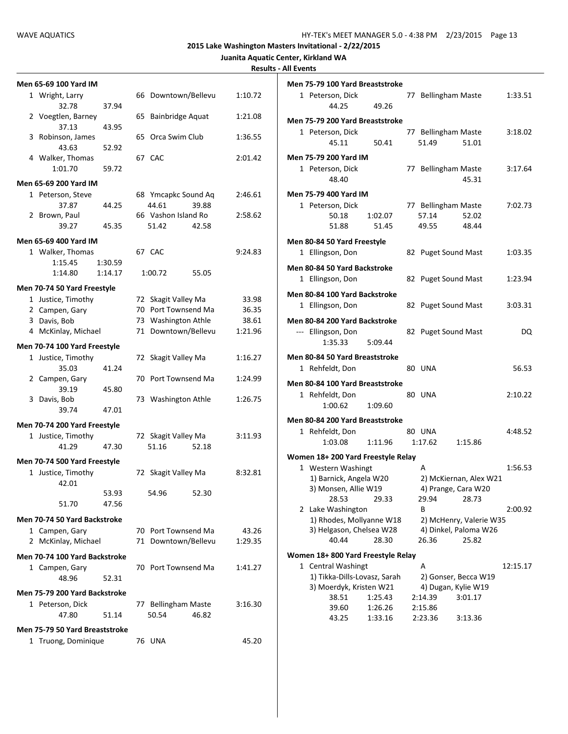|  | Juanita Aquatic Center, Kirkland WA |  |
|--|-------------------------------------|--|
|  |                                     |  |

| Men 65-69 100 Yard IM          |         |                        |         |
|--------------------------------|---------|------------------------|---------|
| 1 Wright, Larry                |         | 66 Downtown/Bellevu    | 1:10.72 |
| 32.78<br>2 Voegtlen, Barney    | 37.94   | Bainbridge Aquat<br>65 | 1:21.08 |
| 37.13                          | 43.95   |                        |         |
| 3 Robinson, James              |         | Orca Swim Club<br>65   | 1:36.55 |
| 43.63                          | 52.92   |                        |         |
| 4 Walker, Thomas               |         | 67 CAC                 | 2:01.42 |
| 1:01.70                        | 59.72   |                        |         |
| Men 65-69 200 Yard IM          |         |                        |         |
| 1 Peterson, Steve              |         | 68 Ymcapkc Sound Aq    | 2:46.61 |
| 37.87                          | 44.25   | 44.61<br>39.88         |         |
| 2 Brown, Paul                  |         | 66 Vashon Island Ro    | 2:58.62 |
| 39.27                          | 45.35   | 51.42<br>42.58         |         |
| Men 65-69 400 Yard IM          |         |                        |         |
| 1 Walker, Thomas               |         | 67 CAC                 | 9:24.83 |
| 1:15.45                        | 1:30.59 |                        |         |
| 1:14.80                        | 1:14.17 | 1:00.72<br>55.05       |         |
| Men 70-74 50 Yard Freestyle    |         |                        |         |
| 1 Justice, Timothy             |         | 72 Skagit Valley Ma    | 33.98   |
| 2 Campen, Gary                 |         | 70 Port Townsend Ma    | 36.35   |
| 3 Davis, Bob                   |         | 73 Washington Athle    | 38.61   |
| 4 McKinlay, Michael            |         | 71 Downtown/Bellevu    | 1:21.96 |
| Men 70-74 100 Yard Freestyle   |         |                        |         |
| 1 Justice, Timothy             |         | 72 Skagit Valley Ma    | 1:16.27 |
| 35.03                          | 41.24   |                        |         |
| 2 Campen, Gary                 |         | 70 Port Townsend Ma    | 1:24.99 |
| 39.19                          | 45.80   |                        |         |
| 3 Davis, Bob                   |         | 73 Washington Athle    | 1:26.75 |
| 39.74                          | 47.01   |                        |         |
| Men 70-74 200 Yard Freestyle   |         |                        |         |
| 1 Justice, Timothy             |         | 72 Skagit Valley Ma    | 3:11.93 |
| 41.29                          | 47.30   | 51.16<br>52.18         |         |
| Men 70-74 500 Yard Freestyle   |         |                        |         |
| 1 Justice, Timothy             |         | 72 Skagit Valley Ma    | 8:32.81 |
| 42.01                          |         |                        |         |
|                                | 53.93   | 54.96<br>52.30         |         |
| 51.70                          | 47.56   |                        |         |
| Men 70-74 50 Yard Backstroke   |         |                        |         |
| 1 Campen, Gary                 |         | 70 Port Townsend Ma    | 43.26   |
| 2 McKinlay, Michael            |         | 71 Downtown/Bellevu    | 1:29.35 |
|                                |         |                        |         |
| Men 70-74 100 Yard Backstroke  |         |                        |         |
| 1 Campen, Gary                 |         | 70 Port Townsend Ma    | 1:41.27 |
| 48.96                          | 52.31   |                        |         |
| Men 75-79 200 Yard Backstroke  |         |                        |         |
| 1 Peterson, Dick               |         | 77 Bellingham Maste    | 3:16.30 |
| 47.80                          | 51.14   | 50.54<br>46.82         |         |
| Men 75-79 50 Yard Breaststroke |         |                        |         |
| 1 Truong, Dominique            |         | 76 UNA                 | 45.20   |
|                                |         |                        |         |

| Men 75-79 100 Yard Breaststroke                      |                    |                              |                                                  |          |
|------------------------------------------------------|--------------------|------------------------------|--------------------------------------------------|----------|
| 1 Peterson, Dick<br>44.25                            | 49.26              | 77 Bellingham Maste          |                                                  | 1:33.51  |
| Men 75-79 200 Yard Breaststroke                      |                    |                              |                                                  |          |
| 1 Peterson, Dick<br>45.11                            | 50.41              | 77 Bellingham Maste<br>51.49 | 51.01                                            | 3:18.02  |
| Men 75-79 200 Yard IM                                |                    |                              |                                                  |          |
| 1 Peterson, Dick<br>48.40                            |                    | 77 Bellingham Maste          | 45.31                                            | 3:17.64  |
| Men 75-79 400 Yard IM                                |                    |                              |                                                  |          |
| 1 Peterson, Dick                                     |                    | 77 Bellingham Maste          |                                                  | 7:02.73  |
| 50.18                                                | 1:02.07            | 57.14                        | 52.02                                            |          |
| 51.88                                                | 51.45              | 49.55                        | 48.44                                            |          |
| Men 80-84 50 Yard Freestyle                          |                    |                              |                                                  |          |
| 1 Ellingson, Don                                     |                    | 82 Puget Sound Mast          |                                                  | 1:03.35  |
|                                                      |                    |                              |                                                  |          |
| Men 80-84 50 Yard Backstroke                         |                    |                              |                                                  |          |
| 1 Ellingson, Don                                     |                    | 82 Puget Sound Mast          |                                                  | 1:23.94  |
| Men 80-84 100 Yard Backstroke                        |                    |                              |                                                  |          |
| 1 Ellingson, Don                                     |                    | 82 Puget Sound Mast          |                                                  | 3:03.31  |
| Men 80-84 200 Yard Backstroke                        |                    |                              |                                                  |          |
| --- Ellingson, Don                                   |                    | 82 Puget Sound Mast          |                                                  | DQ       |
| 1:35.33                                              | 5:09.44            |                              |                                                  |          |
| Men 80-84 50 Yard Breaststroke                       |                    |                              |                                                  |          |
| 1 Rehfeldt, Don                                      |                    | 80 UNA                       |                                                  | 56.53    |
| Men 80-84 100 Yard Breaststroke                      |                    |                              |                                                  |          |
| 1 Rehfeldt, Don                                      |                    | 80 UNA                       |                                                  | 2:10.22  |
| 1:00.62                                              | 1:09.60            |                              |                                                  |          |
|                                                      |                    |                              |                                                  |          |
| Men 80-84 200 Yard Breaststroke                      |                    |                              |                                                  |          |
| 1 Rehfeldt, Don<br>1:03.08                           |                    | 80 UNA                       |                                                  | 4:48.52  |
|                                                      | 1:11.96            | 1:17.62                      | 1:15.86                                          |          |
| Women 18+200 Yard Freestyle Relay                    |                    |                              |                                                  |          |
| 1 Western Washingt                                   |                    | А                            |                                                  | 1:56.53  |
| 1) Barnick, Angela W20                               |                    |                              | 2) McKiernan, Alex W21                           |          |
| 3) Monsen, Allie W19                                 |                    |                              | 4) Prange, Cara W20                              |          |
| 28.53                                                | 29.33              | 29.94                        | 28.73                                            |          |
| 2 Lake Washington                                    |                    | В                            |                                                  | 2:00.92  |
| 1) Rhodes, Mollyanne W18<br>3) Helgason, Chelsea W28 |                    |                              | 2) McHenry, Valerie W35<br>4) Dinkel, Paloma W26 |          |
| 40.44                                                | 28.30              | 26.36                        | 25.82                                            |          |
|                                                      |                    |                              |                                                  |          |
| Women 18+800 Yard Freestyle Relay                    |                    |                              |                                                  |          |
| 1 Central Washingt                                   |                    | А                            |                                                  | 12:15.17 |
| 1) Tikka-Dills-Lovasz, Sarah                         |                    |                              | 2) Gonser, Becca W19                             |          |
| 3) Moerdyk, Kristen W21                              |                    | 4) Dugan, Kylie W19          |                                                  |          |
| 38.51                                                | 1:25.43            | 2:14.39                      | 3:01.17                                          |          |
| 39.60<br>43.25                                       | 1:26.26<br>1:33.16 | 2:15.86<br>2:23.36           |                                                  |          |
|                                                      |                    |                              | 3:13.36                                          |          |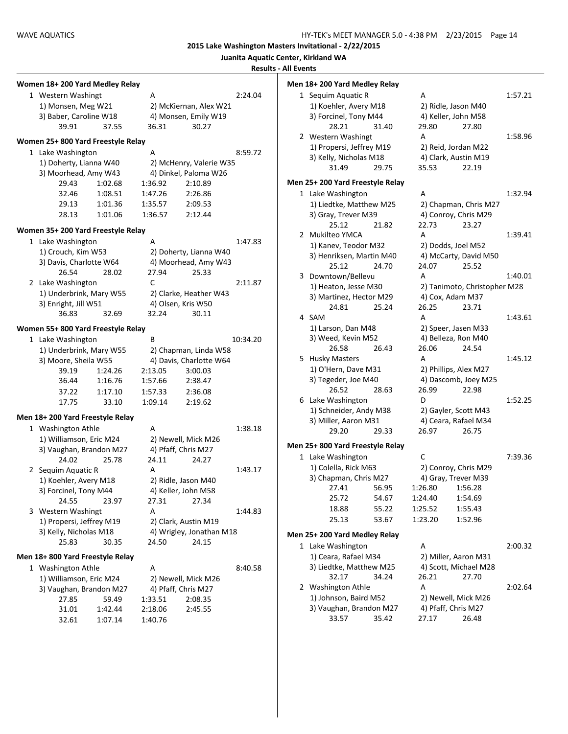|                                    |         |         |                              | Juanita Aquatic Center, Kirkland WA | <b>Results - All Events</b> |                                      |
|------------------------------------|---------|---------|------------------------------|-------------------------------------|-----------------------------|--------------------------------------|
| Women 18+200 Yard Medley Relay     |         |         |                              |                                     |                             | Men 18+ 200 Yard I                   |
| 1 Western Washingt                 |         | A       |                              | 2:24.04                             |                             | 1 Sequim Aqua                        |
| 1) Monsen, Meg W21                 |         |         | 2) McKiernan, Alex W21       |                                     |                             | 1) Koehler, A                        |
| 3) Baber, Caroline W18             |         |         | 4) Monsen, Emily W19         |                                     |                             | 3) Forcinel, T                       |
| 39.91                              | 37.55   | 36.31   | 30.27                        |                                     |                             | 28.21                                |
| Women 25+800 Yard Freestyle Relay  |         |         |                              |                                     |                             | 2 Western Was                        |
| 1 Lake Washington                  |         | A       |                              | 8:59.72                             |                             | 1) Propersi, J                       |
| 1) Doherty, Lianna W40             |         |         | 2) McHenry, Valerie W35      |                                     |                             | 3) Kelly, Nich                       |
| 3) Moorhead, Amy W43               |         |         | 4) Dinkel, Paloma W26        |                                     |                             | 31.49                                |
| 29.43                              | 1:02.68 | 1:36.92 | 2:10.89                      |                                     |                             | Men 25+ 200 Yard I                   |
| 32.46                              | 1:08.51 | 1:47.26 | 2:26.86                      |                                     |                             | 1 Lake Washing                       |
| 29.13                              | 1:01.36 | 1:35.57 | 2:09.53                      |                                     |                             | 1) Liedtke, M                        |
| 28.13                              | 1:01.06 | 1:36.57 | 2:12.44                      |                                     |                             | 3) Gray, Trev                        |
| Women 35+ 200 Yard Freestyle Relay |         |         |                              |                                     |                             | 25.12<br>2 Mukilteo YM               |
| 1 Lake Washington                  |         | A       |                              | 1:47.83                             |                             | 1) Kanev, Teo                        |
| 1) Crouch, Kim W53                 |         |         | 2) Doherty, Lianna W40       |                                     |                             | 3) Henriksen,                        |
| 3) Davis, Charlotte W64            |         |         | 4) Moorhead, Amy W43         |                                     |                             | 25.12                                |
| 26.54                              | 28.02   | 27.94   | 25.33                        |                                     |                             | 3 Downtown/B                         |
| 2 Lake Washington                  |         | C       |                              | 2:11.87                             |                             | 1) Heaton, Je                        |
| 1) Underbrink, Mary W55            |         |         | 2) Clarke, Heather W43       |                                     |                             | 3) Martinez, I                       |
| 3) Enright, Jill W51               |         |         | 4) Olsen, Kris W50           |                                     |                             | 24.81                                |
| 36.83                              | 32.69   | 32.24   | 30.11                        |                                     |                             | 4 SAM                                |
| Women 55+ 800 Yard Freestyle Relay |         |         |                              |                                     |                             | 1) Larson, Da                        |
| 1 Lake Washington                  |         | B       |                              | 10:34.20                            |                             | 3) Weed, Kev                         |
| 1) Underbrink, Mary W55            |         |         | 2) Chapman, Linda W58        |                                     |                             | 26.58                                |
| 3) Moore, Sheila W55               |         |         | 4) Davis, Charlotte W64      |                                     |                             | 5 Husky Master                       |
| 39.19                              | 1:24.26 | 2:13.05 | 3:00.03                      |                                     |                             | 1) O'Hern, Da                        |
| 36.44                              | 1:16.76 | 1:57.66 | 2:38.47                      |                                     |                             | 3) Tegeder, Jo                       |
| 37.22                              | 1:17.10 | 1:57.33 | 2:36.08                      |                                     |                             | 26.52                                |
| 17.75                              | 33.10   | 1:09.14 | 2:19.62                      |                                     |                             | 6 Lake Washing                       |
| Men 18+200 Yard Freestyle Relay    |         |         |                              |                                     |                             | 1) Schneider,                        |
|                                    |         |         |                              |                                     |                             | 3) Miller, Aar                       |
| 1 Washington Athle                 |         | A       |                              | 1:38.18                             |                             | 29.20                                |
| 1) Williamson, Eric M24            |         |         | 2) Newell, Mick M26          |                                     |                             | Men 25+ 800 Yard I                   |
| 3) Vaughan, Brandon M27            |         | 24.11   | 4) Pfaff, Chris M27<br>24.27 |                                     |                             | 1 Lake Washing                       |
| 24.02<br>2 Sequim Aquatic R        | 25.78   | А       |                              | 1:43.17                             |                             | 1) Colella, Rio                      |
| 1) Koehler, Avery M18              |         |         | 2) Ridle, Jason M40          |                                     |                             | 3) Chapman,                          |
| 3) Forcinel, Tony M44              |         |         | 4) Keller, John M58          |                                     |                             | 27.41                                |
| 24.55                              | 23.97   | 27.31   | 27.34                        |                                     |                             | 25.72                                |
| 3 Western Washingt                 |         | А       |                              | 1:44.83                             |                             | 18.88                                |
| 1) Propersi, Jeffrey M19           |         |         | 2) Clark, Austin M19         |                                     |                             | 25.13                                |
| 3) Kelly, Nicholas M18             |         |         | 4) Wrigley, Jonathan M18     |                                     |                             |                                      |
| 25.83                              | 30.35   | 24.50   | 24.15                        |                                     |                             | Men 25+ 200 Yard I<br>1 Lake Washing |
| Men 18+800 Yard Freestyle Relay    |         |         |                              |                                     |                             | 1) Ceara, Raf                        |
| 1 Washington Athle                 |         | A       |                              | 8:40.58                             |                             | 3) Liedtke, M                        |
| 1) Williamson, Eric M24            |         |         | 2) Newell, Mick M26          |                                     |                             | 32.17                                |
| 3) Vaughan, Brandon M27            |         |         | 4) Pfaff, Chris M27          |                                     |                             | 2 Washington /                       |
| 27.85                              | 59.49   | 1:33.51 | 2:08.35                      |                                     |                             | 1) Johnson, B                        |
| 31.01                              | 1:42.44 | 2:18.06 | 2:45.55                      |                                     |                             | 3) Vaughan, I                        |
|                                    |         |         |                              |                                     |                             | 33.57                                |

| II Events |           |                                  |       |            |                              |         |
|-----------|-----------|----------------------------------|-------|------------|------------------------------|---------|
|           |           | Men 18+ 200 Yard Medley Relay    |       |            |                              |         |
|           |           | 1 Sequim Aquatic R               |       | A          |                              | 1:57.21 |
|           |           | 1) Koehler, Avery M18            |       |            | 2) Ridle, Jason M40          |         |
|           |           | 3) Forcinel, Tony M44            |       |            | 4) Keller, John M58          |         |
|           |           | 28.21                            | 31.40 | 29.80      | 27.80                        |         |
|           |           | 2 Western Washingt               |       | A          |                              | 1:58.96 |
|           |           | 1) Propersi, Jeffrey M19         |       |            | 2) Reid, Jordan M22          |         |
|           |           | 3) Kelly, Nicholas M18           |       |            | 4) Clark, Austin M19         |         |
|           |           | 31.49                            | 29.75 | 35.53      | 22.19                        |         |
|           |           | Men 25+ 200 Yard Freestyle Relay |       |            |                              |         |
|           |           | 1 Lake Washington                |       | A          |                              | 1:32.94 |
|           |           | 1) Liedtke, Matthew M25          |       |            | 2) Chapman, Chris M27        |         |
|           |           | 3) Gray, Trever M39              |       |            | 4) Conroy, Chris M29         |         |
|           |           | 25.12                            | 21.82 | 22.73      | 23.27                        |         |
|           |           | 2 Mukilteo YMCA                  |       | A          |                              | 1:39.41 |
|           |           | 1) Kanev, Teodor M32             |       |            | 2) Dodds, Joel M52           |         |
|           |           | 3) Henriksen, Martin M40         |       |            | 4) McCarty, David M50        |         |
|           |           | 25.12                            | 24.70 | 24.07      | 25.52                        |         |
|           | 3         | Downtown/Bellevu                 |       | А          |                              | 1:40.01 |
|           |           | 1) Heaton, Jesse M30             |       |            | 2) Tanimoto, Christopher M28 |         |
|           |           |                                  |       |            |                              |         |
|           |           | 3) Martinez, Hector M29<br>24.81 | 25.24 |            | 4) Cox, Adam M37             |         |
|           |           | 4 SAM                            |       | 26.25<br>А | 23.71                        | 1:43.61 |
|           |           |                                  |       |            |                              |         |
|           |           | 1) Larson, Dan M48               |       |            | 2) Speer, Jasen M33          |         |
|           |           | 3) Weed, Kevin M52               |       |            | 4) Belleza, Ron M40          |         |
|           |           | 26.58                            | 26.43 | 26.06      | 24.54                        |         |
|           |           | 5 Husky Masters                  |       | A          |                              | 1:45.12 |
|           |           | 1) O'Hern, Dave M31              |       |            | 2) Phillips, Alex M27        |         |
|           |           | 3) Tegeder, Joe M40              |       |            | 4) Dascomb, Joey M25         |         |
|           |           | 26.52                            | 28.63 | 26.99      | 22.98                        |         |
|           | 6         | Lake Washington                  |       | D          |                              | 1:52.25 |
|           |           | 1) Schneider, Andy M38           |       |            | 2) Gayler, Scott M43         |         |
|           |           | 3) Miller, Aaron M31             |       |            | 4) Ceara, Rafael M34         |         |
|           |           | 29.20                            | 29.33 | 26.97      | 26.75                        |         |
|           |           | Men 25+ 800 Yard Freestyle Relay |       |            |                              |         |
|           |           | 1 Lake Washington                |       | C          |                              | 7:39.36 |
|           |           | 1) Colella, Rick M63             |       |            | 2) Conroy, Chris M29         |         |
|           |           | 3) Chapman, Chris M27            |       |            | 4) Gray, Trever M39          |         |
|           |           | 27.41                            | 56.95 | 1:26.80    | 1:56.28                      |         |
|           |           | 25.72                            | 54.67 | 1:24.40    | 1:54.69                      |         |
|           |           | 18.88                            | 55.22 | 1:25.52    | 1:55.43                      |         |
|           |           | 25.13                            | 53.67 | 1:23.20    | 1:52.96                      |         |
|           |           | Men 25+ 200 Yard Medley Relay    |       |            |                              |         |
|           | $1 \quad$ | Lake Washington                  |       | А          |                              | 2:00.32 |
|           |           |                                  |       |            |                              |         |
|           |           | 1) Ceara, Rafael M34             |       |            | 2) Miller, Aaron M31         |         |
|           |           | 3) Liedtke, Matthew M25          | 34.24 | 26.21      | 4) Scott, Michael M28        |         |
|           |           | 32.17                            |       |            | 27.70                        |         |
|           | 2         | Washington Athle                 |       | A          |                              | 2:02.64 |
|           |           | 1) Johnson, Baird M52            |       |            | 2) Newell, Mick M26          |         |
|           |           | 3) Vaughan, Brandon M27          |       |            | 4) Pfaff, Chris M27          |         |
|           |           | 33.57                            | 35.42 | 27.17      | 26.48                        |         |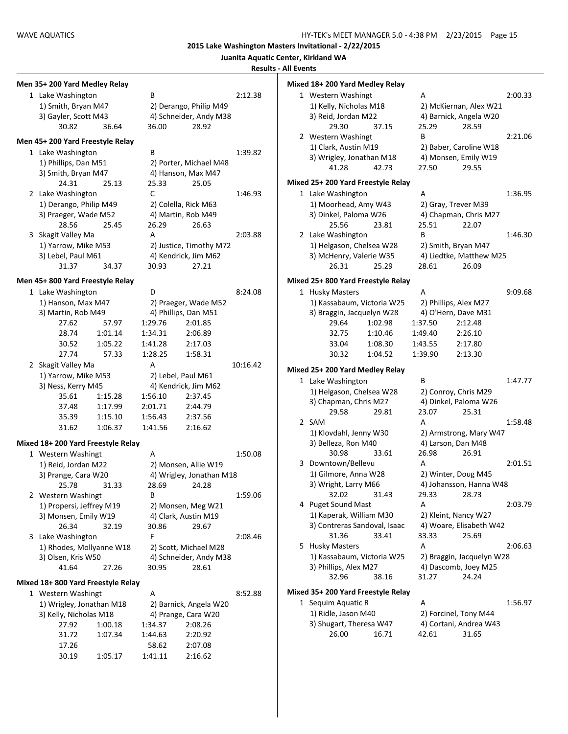**Juanita Aquatic Center, Kirkland WA**

**Results - All Events**

| Men 35+200 Yard Medley Relay      |         |                  |                          |          | Mixed 18+200 Yard Medley Relay     |         |            |                           |         |
|-----------------------------------|---------|------------------|--------------------------|----------|------------------------------------|---------|------------|---------------------------|---------|
| 1 Lake Washington                 |         | B                |                          | 2:12.38  | 1 Western Washingt                 |         | Α          |                           | 2:00.33 |
| 1) Smith, Bryan M47               |         |                  | 2) Derango, Philip M49   |          | 1) Kelly, Nicholas M18             |         |            | 2) McKiernan, Alex W21    |         |
| 3) Gayler, Scott M43              |         |                  | 4) Schneider, Andy M38   |          | 3) Reid, Jordan M22                |         |            | 4) Barnick, Angela W20    |         |
| 30.82                             | 36.64   | 36.00            | 28.92                    |          | 29.30                              | 37.15   | 25.29      | 28.59                     |         |
| Men 45+200 Yard Freestyle Relay   |         |                  |                          |          | 2 Western Washingt                 |         | B          |                           | 2:21.06 |
|                                   |         | B                |                          |          | 1) Clark, Austin M19               |         |            | 2) Baber, Caroline W18    |         |
| 1 Lake Washington                 |         |                  |                          | 1:39.82  | 3) Wrigley, Jonathan M18           |         |            | 4) Monsen, Emily W19      |         |
| 1) Phillips, Dan M51              |         |                  | 2) Porter, Michael M48   |          | 41.28                              | 42.73   | 27.50      | 29.55                     |         |
| 3) Smith, Bryan M47               |         |                  | 4) Hanson, Max M47       |          | Mixed 25+ 200 Yard Freestyle Relay |         |            |                           |         |
| 24.31                             | 25.13   | 25.33            | 25.05                    |          |                                    |         |            |                           |         |
| 2 Lake Washington                 |         | C                |                          | 1:46.93  | 1 Lake Washington                  |         | Α          |                           | 1:36.95 |
| 1) Derango, Philip M49            |         |                  | 2) Colella, Rick M63     |          | 1) Moorhead, Amy W43               |         |            | 2) Gray, Trever M39       |         |
| 3) Praeger, Wade M52              |         |                  | 4) Martin, Rob M49       |          | 3) Dinkel, Paloma W26              |         |            | 4) Chapman, Chris M27     |         |
| 28.56                             | 25.45   | 26.29            | 26.63                    |          | 25.56                              | 23.81   | 25.51<br>B | 22.07                     |         |
| 3 Skagit Valley Ma                |         | A                |                          | 2:03.88  | 2 Lake Washington                  |         |            |                           | 1:46.30 |
| 1) Yarrow, Mike M53               |         |                  | 2) Justice, Timothy M72  |          | 1) Helgason, Chelsea W28           |         |            | 2) Smith, Bryan M47       |         |
| 3) Lebel, Paul M61                |         |                  | 4) Kendrick, Jim M62     |          | 3) McHenry, Valerie W35            |         |            | 4) Liedtke, Matthew M25   |         |
| 31.37                             | 34.37   | 30.93            | 27.21                    |          | 26.31                              | 25.29   | 28.61      | 26.09                     |         |
| Men 45+800 Yard Freestyle Relay   |         |                  |                          |          | Mixed 25+800 Yard Freestyle Relay  |         |            |                           |         |
| 1 Lake Washington                 |         | D                |                          | 8:24.08  | 1 Husky Masters                    |         | А          |                           | 9:09.68 |
| 1) Hanson, Max M47                |         |                  | 2) Praeger, Wade M52     |          | 1) Kassabaum, Victoria W25         |         |            | 2) Phillips, Alex M27     |         |
| 3) Martin, Rob M49                |         |                  | 4) Phillips, Dan M51     |          | 3) Braggin, Jacquelyn W28          |         |            | 4) O'Hern, Dave M31       |         |
| 27.62                             | 57.97   | 1:29.76          | 2:01.85                  |          | 29.64                              | 1:02.98 | 1:37.50    | 2:12.48                   |         |
| 28.74                             | 1:01.14 | 1:34.31          | 2:06.89                  |          | 32.75                              | 1:10.46 | 1:49.40    | 2:26.10                   |         |
| 30.52                             | 1:05.22 | 1:41.28          | 2:17.03                  |          | 33.04                              | 1:08.30 | 1:43.55    | 2:17.80                   |         |
| 27.74                             | 57.33   | 1:28.25          | 1:58.31                  |          | 30.32                              | 1:04.52 | 1:39.90    | 2:13.30                   |         |
| 2 Skagit Valley Ma                |         | А                |                          | 10:16.42 |                                    |         |            |                           |         |
| 1) Yarrow, Mike M53               |         |                  | 2) Lebel, Paul M61       |          | Mixed 25+200 Yard Medley Relay     |         |            |                           |         |
| 3) Ness, Kerry M45                |         |                  | 4) Kendrick, Jim M62     |          | 1 Lake Washington                  |         | B          |                           | 1:47.77 |
| 35.61                             | 1:15.28 | 1:56.10          | 2:37.45                  |          | 1) Helgason, Chelsea W28           |         |            | 2) Conroy, Chris M29      |         |
| 37.48                             | 1:17.99 | 2:01.71          | 2:44.79                  |          | 3) Chapman, Chris M27              |         |            | 4) Dinkel, Paloma W26     |         |
| 35.39                             | 1:15.10 | 1:56.43          | 2:37.56                  |          | 29.58                              | 29.81   | 23.07      | 25.31                     |         |
| 31.62                             | 1:06.37 | 1:41.56          | 2:16.62                  |          | 2 SAM                              |         | A          |                           | 1:58.48 |
|                                   |         |                  |                          |          | 1) Klovdahl, Jenny W30             |         |            | 2) Armstrong, Mary W47    |         |
| Mixed 18+200 Yard Freestyle Relay |         |                  |                          |          | 3) Belleza, Ron M40                |         |            | 4) Larson, Dan M48        |         |
| 1 Western Washingt                |         | Α                |                          | 1:50.08  | 30.98                              | 33.61   | 26.98      | 26.91                     |         |
| 1) Reid, Jordan M22               |         |                  | 2) Monsen, Allie W19     |          | 3 Downtown/Bellevu                 |         | Α          |                           | 2:01.51 |
| 3) Prange, Cara W20               |         |                  | 4) Wrigley, Jonathan M18 |          | 1) Gilmore, Anna W28               |         |            | 2) Winter, Doug M45       |         |
| 25.78                             | 31.33   | 28.69            | 24.28                    |          | 3) Wright, Larry M66               |         |            | 4) Johansson, Hanna W48   |         |
| 2 Western Washingt                |         | B                |                          | 1:59.06  | 32.02                              | 31.43   | 29.33      | 28.73                     |         |
| 1) Propersi, Jeffrey M19          |         |                  | 2) Monsen, Meg W21       |          | 4 Puget Sound Mast                 |         | Α          |                           | 2:03.79 |
| 3) Monsen, Emily W19              |         |                  | 4) Clark, Austin M19     |          | 1) Kaperak, William M30            |         |            | 2) Kleint, Nancy W27      |         |
| 26.34                             | 32.19   | 30.86            | 29.67                    |          | 3) Contreras Sandoval, Isaac       |         |            | 4) Woare, Elisabeth W42   |         |
| 3 Lake Washington                 |         | F.               |                          | 2:08.46  | 31.36                              | 33.41   | 33.33      | 25.69                     |         |
| 1) Rhodes, Mollyanne W18          |         |                  | 2) Scott, Michael M28    |          | 5 Husky Masters                    |         | Α          |                           | 2:06.63 |
| 3) Olsen, Kris W50                |         |                  | 4) Schneider, Andy M38   |          | 1) Kassabaum, Victoria W25         |         |            | 2) Braggin, Jacquelyn W28 |         |
| 41.64                             | 27.26   | 30.95            | 28.61                    |          | 3) Phillips, Alex M27              |         |            | 4) Dascomb, Joey M25      |         |
| Mixed 18+800 Yard Freestyle Relay |         |                  |                          |          | 32.96                              | 38.16   | 31.27      | 24.24                     |         |
|                                   |         |                  |                          | 8:52.88  | Mixed 35+ 200 Yard Freestyle Relay |         |            |                           |         |
| 1 Western Washingt                |         | Α                |                          |          | 1 Sequim Aquatic R                 |         | Α          |                           | 1:56.97 |
| 1) Wrigley, Jonathan M18          |         |                  | 2) Barnick, Angela W20   |          | 1) Ridle, Jason M40                |         |            | 2) Forcinel, Tony M44     |         |
| 3) Kelly, Nicholas M18<br>27.92   |         |                  | 4) Prange, Cara W20      |          | 3) Shugart, Theresa W47            |         |            | 4) Cortani, Andrea W43    |         |
|                                   | 1:00.18 | 1:34.37          | 2:08.26                  |          |                                    |         | 42.61      |                           |         |
|                                   |         |                  |                          |          |                                    |         |            |                           |         |
| 31.72                             | 1:07.34 | 1:44.63          | 2:20.92                  |          | 26.00                              | 16.71   |            | 31.65                     |         |
| 17.26<br>30.19                    | 1:05.17 | 58.62<br>1:41.11 | 2:07.08<br>2:16.62       |          |                                    |         |            |                           |         |